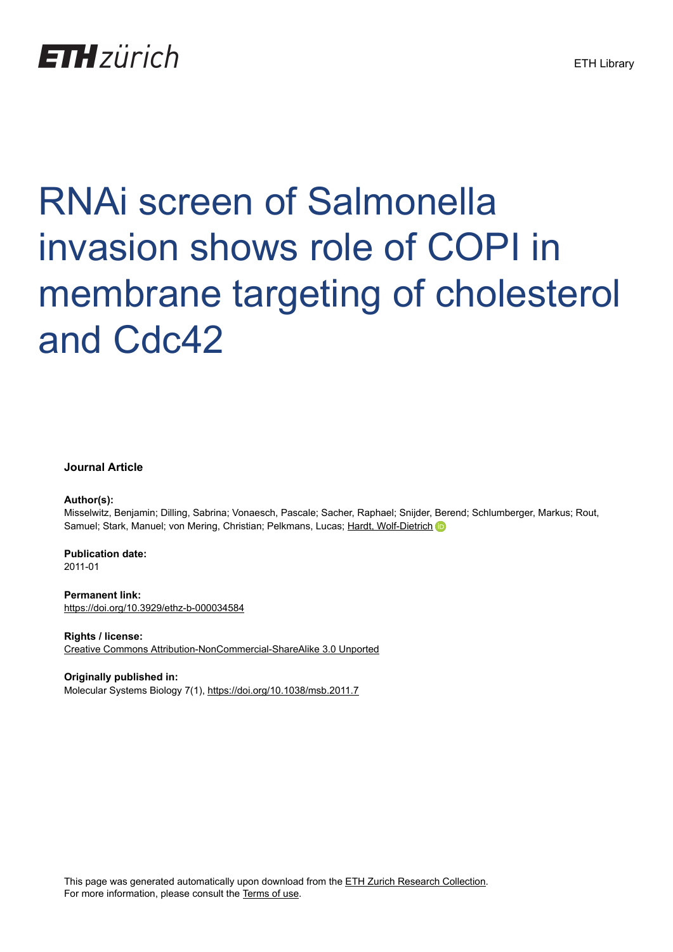## **ETH** zürich

# RNAi screen of Salmonella invasion shows role of COPI in membrane targeting of cholesterol and Cdc42

#### **Journal Article**

#### **Author(s):**

Misselwitz, Benjamin; Dilling, Sabrina; Vonaesch, Pascale; Sacher, Raphael; Snijder, Berend; Schlumberger, Markus; Rout, Samuel; Stark, Manuel; von Mering, Christian; Pelkmans, Lucas; [Hardt, Wolf-Dietrich](https://orcid.org/0000-0002-9892-6420)

#### **Publication date:** 2011-01

**Permanent link:** <https://doi.org/10.3929/ethz-b-000034584>

**Rights / license:** [Creative Commons Attribution-NonCommercial-ShareAlike 3.0 Unported](http://creativecommons.org/licenses/by-nc-sa/3.0/)

#### **Originally published in:**

Molecular Systems Biology 7(1), <https://doi.org/10.1038/msb.2011.7>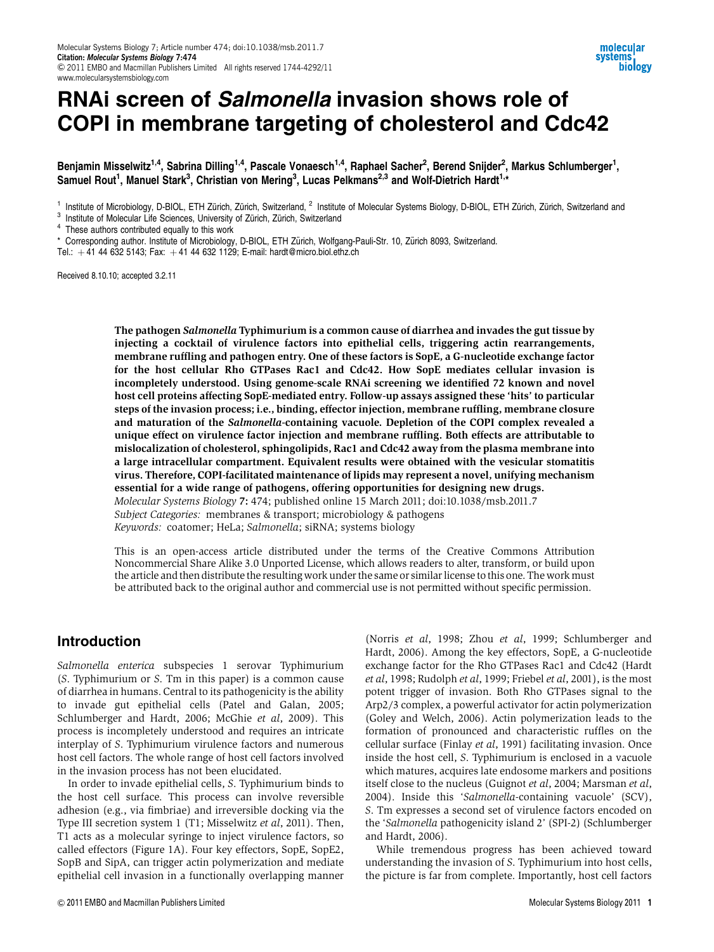### RNAi screen of Salmonella invasion shows role of COPI in membrane targeting of cholesterol and Cdc42

Benjamin Misselwitz<sup>1,4</sup>, Sabrina Dilling<sup>1,4</sup>, Pascale Vonaesch<sup>1,4</sup>, Raphael Sacher<sup>2</sup>, Berend Snijder<sup>2</sup>, Markus Schlumberger<sup>1</sup>, Samuel Rout<sup>1</sup>, Manuel Stark<sup>3</sup>, Christian von Mering<sup>3</sup>, Lucas Pelkmans<sup>2,3</sup> and Wolf-Dietrich Hardt<sup>1,</sup>\*

<sup>1</sup> Institute of Microbiology, D-BIOL, ETH Zürich, Zürich, Switzerland, <sup>2</sup> Institute of Molecular Systems Biology, D-BIOL, ETH Zürich, Zürich, Switzerland and  $^3$  Institute of Molecular Life Sciences, University of Züri

Corresponding author. Institute of Microbiology, D-BIOL, ETH Zürich, Wolfgang-Pauli-Str. 10, Zürich 8093, Switzerland.

Tel.:  $+41$  44 632 5143; Fax:  $+41$  44 632 1129; E-mail: hardt@micro.biol.ethz.ch

Received 8.10.10; accepted 3.2.11

The pathogen Salmonella Typhimurium is a common cause of diarrhea and invades the gut tissue by injecting a cocktail of virulence factors into epithelial cells, triggering actin rearrangements, membrane ruffling and pathogen entry. One of these factors is SopE, a G-nucleotide exchange factor for the host cellular Rho GTPases Rac1 and Cdc42. How SopE mediates cellular invasion is incompletely understood. Using genome-scale RNAi screening we identified 72 known and novel host cell proteins affecting SopE-mediated entry. Follow-up assays assigned these 'hits' to particular steps of the invasion process; i.e., binding, effector injection, membrane ruffling, membrane closure and maturation of the Salmonella-containing vacuole. Depletion of the COPI complex revealed a unique effect on virulence factor injection and membrane ruffling. Both effects are attributable to mislocalization of cholesterol, sphingolipids, Rac1 and Cdc42 away from the plasma membrane into a large intracellular compartment. Equivalent results were obtained with the vesicular stomatitis virus. Therefore, COPI-facilitated maintenance of lipids may represent a novel, unifying mechanism essential for a wide range of pathogens, offering opportunities for designing new drugs.

Molecular Systems Biology 7: 474; published online 15 March 2011; doi:10.1038/msb.2011.7 Subject Categories: membranes & transport; microbiology & pathogens Keywords: coatomer; HeLa; Salmonella; siRNA; systems biology

This is an open-access article distributed under the terms of the Creative Commons Attribution Noncommercial Share Alike 3.0 Unported License, which allows readers to alter, transform, or build upon the article and then distribute the resulting work under the same or similar license to this one. Thework must be attributed back to the original author and commercial use is not permitted without specific permission.

#### Introduction

Salmonella enterica subspecies 1 serovar Typhimurium (S. Typhimurium or S. Tm in this paper) is a common cause of diarrhea in humans. Central to its pathogenicity is the ability to invade gut epithelial cells (Patel and Galan, 2005; Schlumberger and Hardt, 2006; McGhie et al, 2009). This process is incompletely understood and requires an intricate interplay of S. Typhimurium virulence factors and numerous host cell factors. The whole range of host cell factors involved in the invasion process has not been elucidated.

In order to invade epithelial cells, S. Typhimurium binds to the host cell surface. This process can involve reversible adhesion (e.g., via fimbriae) and irreversible docking via the Type III secretion system 1 (T1; Misselwitz et al, 2011). Then, T1 acts as a molecular syringe to inject virulence factors, so called effectors (Figure 1A). Four key effectors, SopE, SopE2, SopB and SipA, can trigger actin polymerization and mediate epithelial cell invasion in a functionally overlapping manner

(Norris et al, 1998; Zhou et al, 1999; Schlumberger and Hardt, 2006). Among the key effectors, SopE, a G-nucleotide exchange factor for the Rho GTPases Rac1 and Cdc42 (Hardt et al, 1998; Rudolph et al, 1999; Friebel et al, 2001), is the most potent trigger of invasion. Both Rho GTPases signal to the Arp2/3 complex, a powerful activator for actin polymerization (Goley and Welch, 2006). Actin polymerization leads to the formation of pronounced and characteristic ruffles on the cellular surface (Finlay et al, 1991) facilitating invasion. Once inside the host cell, S. Typhimurium is enclosed in a vacuole which matures, acquires late endosome markers and positions itself close to the nucleus (Guignot et al, 2004; Marsman et al, 2004). Inside this 'Salmonella-containing vacuole' (SCV), S. Tm expresses a second set of virulence factors encoded on the 'Salmonella pathogenicity island 2' (SPI-2) (Schlumberger and Hardt, 2006).

While tremendous progress has been achieved toward understanding the invasion of S. Typhimurium into host cells, the picture is far from complete. Importantly, host cell factors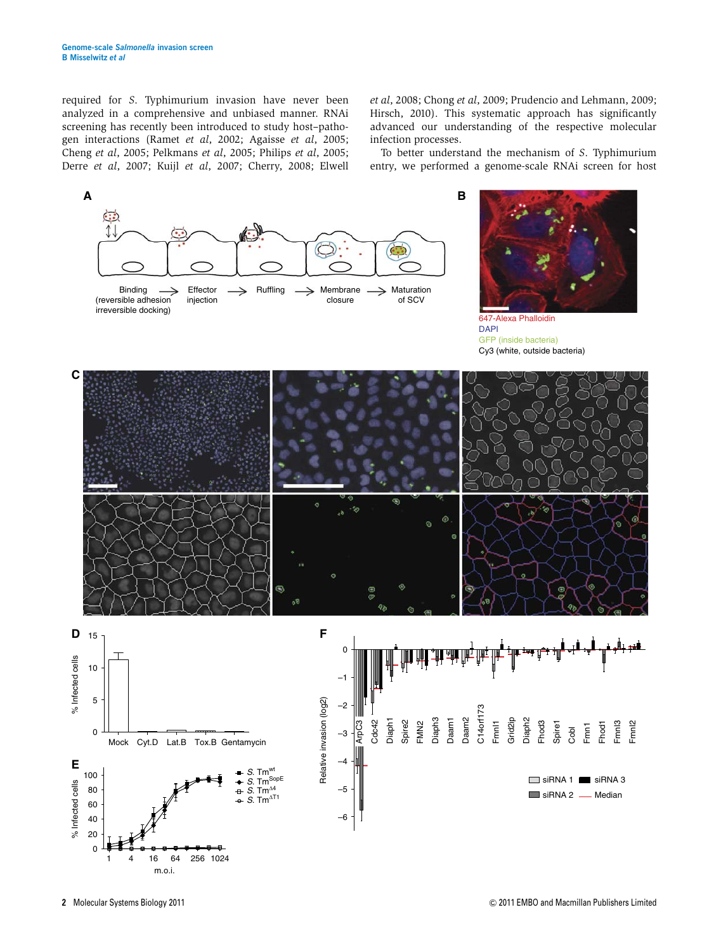required for S. Typhimurium invasion have never been analyzed in a comprehensive and unbiased manner. RNAi screening has recently been introduced to study host–pathogen interactions (Ramet et al, 2002; Agaisse et al, 2005; Cheng et al, 2005; Pelkmans et al, 2005; Philips et al, 2005; Derre et al, 2007; Kuijl et al, 2007; Cherry, 2008; Elwell

et al, 2008; Chong et al, 2009; Prudencio and Lehmann, 2009; Hirsch, 2010). This systematic approach has significantly advanced our understanding of the respective molecular infection processes.

To better understand the mechanism of S. Typhimurium entry, we performed a genome-scale RNAi screen for host





647-Alexa Phalloidin DAPI GFP (inside bacteria) Cy3 (white, outside bacteria)

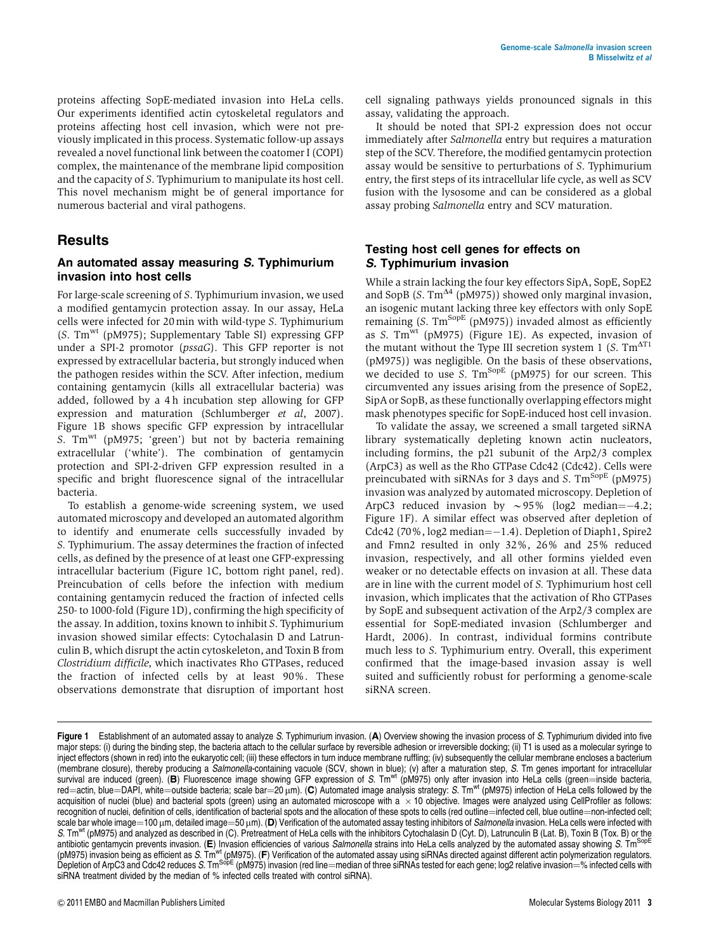proteins affecting SopE-mediated invasion into HeLa cells. Our experiments identified actin cytoskeletal regulators and proteins affecting host cell invasion, which were not previously implicated in this process. Systematic follow-up assays revealed a novel functional link between the coatomer I (COPI) complex, the maintenance of the membrane lipid composition and the capacity of S. Typhimurium to manipulate its host cell. This novel mechanism might be of general importance for numerous bacterial and viral pathogens.

#### Results

#### An automated assay measuring S. Typhimurium invasion into host cells

For large-scale screening of S. Typhimurium invasion, we used a modified gentamycin protection assay. In our assay, HeLa cells were infected for 20 min with wild-type S. Typhimurium (S. Tmwt (pM975); Supplementary Table SI) expressing GFP under a SPI-2 promotor (pssaG). This GFP reporter is not expressed by extracellular bacteria, but strongly induced when the pathogen resides within the SCV. After infection, medium containing gentamycin (kills all extracellular bacteria) was added, followed by a 4 h incubation step allowing for GFP expression and maturation (Schlumberger et al, 2007). Figure 1B shows specific GFP expression by intracellular S.  $Tm<sup>wt</sup>$  (pM975; 'green') but not by bacteria remaining extracellular ('white'). The combination of gentamycin protection and SPI-2-driven GFP expression resulted in a specific and bright fluorescence signal of the intracellular bacteria.

To establish a genome-wide screening system, we used automated microscopy and developed an automated algorithm to identify and enumerate cells successfully invaded by S. Typhimurium. The assay determines the fraction of infected cells, as defined by the presence of at least one GFP-expressing intracellular bacterium (Figure 1C, bottom right panel, red). Preincubation of cells before the infection with medium containing gentamycin reduced the fraction of infected cells 250- to 1000-fold (Figure 1D), confirming the high specificity of the assay. In addition, toxins known to inhibit S. Typhimurium invasion showed similar effects: Cytochalasin D and Latrunculin B, which disrupt the actin cytoskeleton, and Toxin B from Clostridium difficile, which inactivates Rho GTPases, reduced the fraction of infected cells by at least 90%. These observations demonstrate that disruption of important host

cell signaling pathways yields pronounced signals in this assay, validating the approach.

It should be noted that SPI-2 expression does not occur immediately after Salmonella entry but requires a maturation step of the SCV. Therefore, the modified gentamycin protection assay would be sensitive to perturbations of S. Typhimurium entry, the first steps of its intracellular life cycle, as well as SCV fusion with the lysosome and can be considered as a global assay probing Salmonella entry and SCV maturation.

#### Testing host cell genes for effects on S. Typhimurium invasion

While a strain lacking the four key effectors SipA, SopE, SopE2 and SopB (S.  $Tm^{\Delta 4}$  (pM975)) showed only marginal invasion, an isogenic mutant lacking three key effectors with only SopE remaining  $(S. Tm^{Sope} (pM975))$  invaded almost as efficiently as S. Tmwt (pM975) (Figure 1E). As expected, invasion of the mutant without the Type III secretion system 1 (S.  $Tm^{\Delta T1}$ (pM975)) was negligible. On the basis of these observations, we decided to use S.  $\text{Tm}^{\text{SopE}}$  (pM975) for our screen. This circumvented any issues arising from the presence of SopE2, SipA or SopB, as these functionally overlapping effectors might mask phenotypes specific for SopE-induced host cell invasion.

To validate the assay, we screened a small targeted siRNA library systematically depleting known actin nucleators, including formins, the p21 subunit of the Arp2/3 complex (ArpC3) as well as the Rho GTPase Cdc42 (Cdc42). Cells were preincubated with siRNAs for 3 days and S.  $\text{Tm}^{\text{Sope}}$  (pM975) invasion was analyzed by automated microscopy. Depletion of ArpC3 reduced invasion by  $\sim$ 95% (log2 median= $-4.2$ ; Figure 1F). A similar effect was observed after depletion of Cdc42 (70%, log2 median=-1.4). Depletion of Diaph1, Spire2 and Fmn2 resulted in only 32%, 26% and 25% reduced invasion, respectively, and all other formins yielded even weaker or no detectable effects on invasion at all. These data are in line with the current model of S. Typhimurium host cell invasion, which implicates that the activation of Rho GTPases by SopE and subsequent activation of the Arp2/3 complex are essential for SopE-mediated invasion (Schlumberger and Hardt, 2006). In contrast, individual formins contribute much less to S. Typhimurium entry. Overall, this experiment confirmed that the image-based invasion assay is well suited and sufficiently robust for performing a genome-scale siRNA screen.

Figure 1 Establishment of an automated assay to analyze S. Typhimurium invasion. (A) Overview showing the invasion process of S. Typhimurium divided into five major steps: (i) during the binding step, the bacteria attach to the cellular surface by reversible adhesion or irreversible docking; (ii) T1 is used as a molecular syringe to inject effectors (shown in red) into the eukaryotic cell; (iii) these effectors in turn induce membrane ruffling; (iv) subsequently the cellular membrane encloses a bacterium (membrane closure), thereby producing a Salmonella-containing vacuole (SCV, shown in blue); (v) after a maturation step, S. Tm genes important for intracellular survival are induced (green). (B) Fluorescence image showing GFP expression of S. Tm<sup>wt</sup> (pM975) only after invasion into HeLa cells (green=inside bacteria, red=actin, blue=DAPI, white=outside bacteria; scale bar=20  $\mu$ m). (C) Automated image analysis strategy: S. Tm<sup>wt</sup> (pM975) infection of HeLa cells followed by the acquisition of nuclei (blue) and bacterial spots (green) using an automated microscope with a  $\times$  10 objective. Images were analyzed using CellProfiler as follows: recognition of nuclei, definition of cells, identification of bacterial spots and the allocation of these spots to cells (red outline=infected cell, blue outline=non-infected cell; scale bar whole image=100  $\mu$ m, detailed image=50  $\mu$ m). (D) Verification of the automated assay testing inhibitors of Salmonella invasion. HeLa cells were infected with S. Tm<sup>wt</sup> (pM975) and analyzed as described in (C). Pretreatment of HeLa cells with the inhibitors Cytochalasin D (Cyt. D), Latrunculin B (Lat. B), Toxin B (Tox. B) or the antibiotic gentamycin prevents invasion. (E) Invasion efficiencies of various Salmonella strains into HeLa cells analyzed by the automated assay showing S. Tm<sup>SopE</sup> (pM975) invasion being as efficient as S. Tm<sup>wt</sup> (pM975). (F) Verification of the automated assay using siRNAs directed against different actin polymerization regulators. Depletion of ArpC3 and Cdc42 reduces S. Tm<sup>SobE</sup> (pM975) invasion (red line=median of three siRNAs tested for each gene; log2 relative invasion=% infected cells with siRNA treatment divided by the median of % infected cells treated with control siRNA).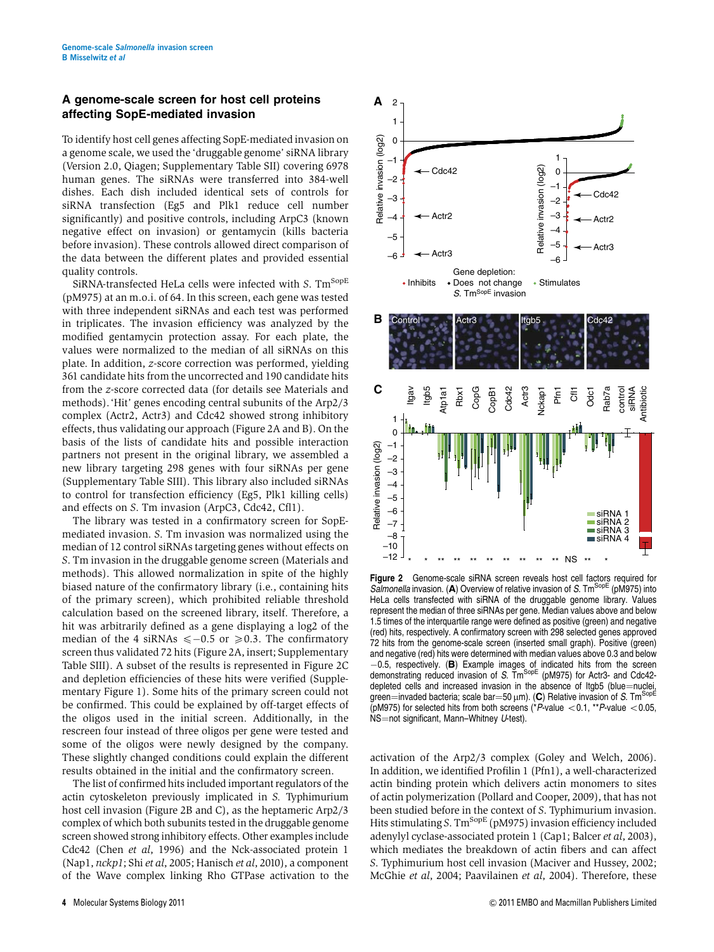#### A genome-scale screen for host cell proteins affecting SopE-mediated invasion

To identify host cell genes affecting SopE-mediated invasion on a genome scale, we used the 'druggable genome' siRNA library (Version 2.0, Qiagen; Supplementary Table SII) covering 6978 human genes. The siRNAs were transferred into 384-well dishes. Each dish included identical sets of controls for siRNA transfection (Eg5 and Plk1 reduce cell number significantly) and positive controls, including ArpC3 (known negative effect on invasion) or gentamycin (kills bacteria before invasion). These controls allowed direct comparison of the data between the different plates and provided essential quality controls.

SiRNA-transfected HeLa cells were infected with S.  $\text{Tm}^{\text{SopE}}$ (pM975) at an m.o.i. of 64. In this screen, each gene was tested with three independent siRNAs and each test was performed in triplicates. The invasion efficiency was analyzed by the modified gentamycin protection assay. For each plate, the values were normalized to the median of all siRNAs on this plate. In addition, z-score correction was performed, yielding 361 candidate hits from the uncorrected and 190 candidate hits from the z-score corrected data (for details see Materials and methods).'Hit' genes encoding central subunits of the Arp2/3 complex (Actr2, Actr3) and Cdc42 showed strong inhibitory effects, thus validating our approach (Figure 2A and B). On the basis of the lists of candidate hits and possible interaction partners not present in the original library, we assembled a new library targeting 298 genes with four siRNAs per gene (Supplementary Table SIII). This library also included siRNAs to control for transfection efficiency (Eg5, Plk1 killing cells) and effects on S. Tm invasion (ArpC3, Cdc42, Cfl1).

The library was tested in a confirmatory screen for SopEmediated invasion. S. Tm invasion was normalized using the median of 12 control siRNAs targeting genes without effects on S. Tm invasion in the druggable genome screen (Materials and methods). This allowed normalization in spite of the highly biased nature of the confirmatory library (i.e., containing hits of the primary screen), which prohibited reliable threshold calculation based on the screened library, itself. Therefore, a hit was arbitrarily defined as a gene displaying a log2 of the median of the 4 siRNAs  $\leq -0.5$  or  $\geq 0.3$ . The confirmatory screen thus validated 72 hits (Figure 2A, insert; Supplementary Table SIII). A subset of the results is represented in Figure 2C and depletion efficiencies of these hits were verified (Supplementary Figure 1). Some hits of the primary screen could not be confirmed. This could be explained by off-target effects of the oligos used in the initial screen. Additionally, in the rescreen four instead of three oligos per gene were tested and some of the oligos were newly designed by the company. These slightly changed conditions could explain the different results obtained in the initial and the confirmatory screen.

The list of confirmed hits included important regulators of the actin cytoskeleton previously implicated in S. Typhimurium host cell invasion (Figure 2B and C), as the heptameric Arp2/3 complex of which both subunits tested in the druggable genome screen showed strong inhibitory effects. Other examples include Cdc42 (Chen et al, 1996) and the Nck-associated protein 1 (Nap1, nckp1; Shi et al, 2005; Hanisch et al, 2010), a component of the Wave complex linking Rho GTPase activation to the



Figure 2 Genome-scale siRNA screen reveals host cell factors required for Salmonella invasion. (A) Overview of relative invasion of S. Tm<sup>SopE</sup> (pM975) into HeLa cells transfected with siRNA of the druggable genome library. Values represent the median of three siRNAs per gene. Median values above and below 1.5 times of the interquartile range were defined as positive (green) and negative (red) hits, respectively. A confirmatory screen with 298 selected genes approved 72 hits from the genome-scale screen (inserted small graph). Positive (green) and negative (red) hits were determined with median values above 0.3 and below -u.b, respectively. (**B**) Example images of indicated hits from the screen<br>demonstrating reduced invasion of S. Tm<sup>SopE</sup> (pM975) for Actr3- and Cdc42- $-0.5$ , respectively. (B) Example images of indicated hits from the screen depleted cells and increased invasion in the absence of Itgb5 (blue=nuclei,<br>green=invaded bacteria; scale bar=50 µm). (C) Relative invasion of S. Tm<sup>SopE</sup><br>(pM975) for selected hits from both screens (\*P-value < 0.1. \*\*P-v (pM975) for selected hits from both screens ( $P$ -value  $<$  0.1, \*\*P-value  $<$  0.05, NS=not significant, Mann–Whitney U-test).

activation of the Arp2/3 complex (Goley and Welch, 2006). In addition, we identified Profilin 1 (Pfn1), a well-characterized actin binding protein which delivers actin monomers to sites of actin polymerization (Pollard and Cooper, 2009), that has not been studied before in the context of S. Typhimurium invasion. Hits stimulating S. Tm<sup>SopE</sup> (pM975) invasion efficiency included adenylyl cyclase-associated protein 1 (Cap1; Balcer et al, 2003), which mediates the breakdown of actin fibers and can affect S. Typhimurium host cell invasion (Maciver and Hussey, 2002; McGhie et al, 2004; Paavilainen et al, 2004). Therefore, these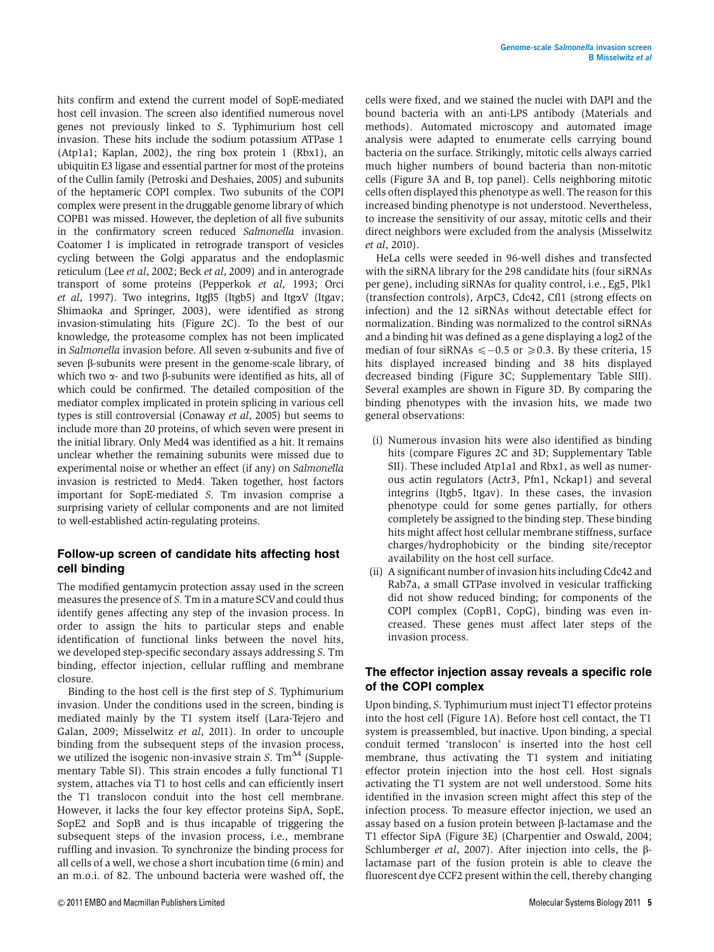hits confirm and extend the current model of SopE-mediated host cell invasion. The screen also identified numerous novel genes not previously linked to S. Typhimurium host cell invasion. These hits include the sodium potassium ATPase 1 (Atp1a1; Kaplan, 2002), the ring box protein 1 (Rbx1), an ubiquitin E3 ligase and essential partner for most of the proteins of the Cullin family (Petroski and Deshaies, 2005) and subunits of the heptameric COPI complex. Two subunits of the COPI complex were present in the druggable genome library of which COPB1 was missed. However, the depletion of all five subunits in the confirmatory screen reduced Salmonella invasion. Coatomer I is implicated in retrograde transport of vesicles cycling between the Golgi apparatus and the endoplasmic reticulum (Lee et al, 2002; Beck et al, 2009) and in anterograde transport of some proteins (Pepperkok et al, 1993; Orci et al, 1997). Two integrins, Itg $\beta$ 5 (Itgb5) and Itg $\alpha$ V (Itgav; Shimaoka and Springer, 2003), were identified as strong invasion-stimulating hits (Figure 2C). To the best of our knowledge, the proteasome complex has not been implicated in Salmonella invasion before. All seven  $\alpha$ -subunits and five of seven  $\beta$ -subunits were present in the genome-scale library, of which two  $\alpha$ - and two  $\beta$ -subunits were identified as hits, all of which could be confirmed. The detailed composition of the mediator complex implicated in protein splicing in various cell types is still controversial (Conaway et al, 2005) but seems to include more than 20 proteins, of which seven were present in the initial library. Only Med4 was identified as a hit. It remains unclear whether the remaining subunits were missed due to experimental noise or whether an effect (if any) on Salmonella invasion is restricted to Med4. Taken together, host factors important for SopE-mediated S. Tm invasion comprise a surprising variety of cellular components and are not limited to well-established actin-regulating proteins.

#### Follow-up screen of candidate hits affecting host cell binding

The modified gentamycin protection assay used in the screen measures the presence of S. Tm in a mature SCVand could thus identify genes affecting any step of the invasion process. In order to assign the hits to particular steps and enable identification of functional links between the novel hits, we developed step-specific secondary assays addressing S. Tm binding, effector injection, cellular ruffling and membrane closure.

Binding to the host cell is the first step of S. Typhimurium invasion. Under the conditions used in the screen, binding is mediated mainly by the T1 system itself (Lara-Tejero and Galan, 2009; Misselwitz et al, 2011). In order to uncouple binding from the subsequent steps of the invasion process, we utilized the isogenic non-invasive strain S.  $\text{Tm}^{\Delta 4}$  (Supplementary Table SI). This strain encodes a fully functional T1 system, attaches via T1 to host cells and can efficiently insert the T1 translocon conduit into the host cell membrane. However, it lacks the four key effector proteins SipA, SopE, SopE2 and SopB and is thus incapable of triggering the subsequent steps of the invasion process, i.e., membrane ruffling and invasion. To synchronize the binding process for all cells of a well, we chose a short incubation time (6 min) and an m.o.i. of 82. The unbound bacteria were washed off, the

cells were fixed, and we stained the nuclei with DAPI and the bound bacteria with an anti-LPS antibody (Materials and methods). Automated microscopy and automated image analysis were adapted to enumerate cells carrying bound bacteria on the surface. Strikingly, mitotic cells always carried much higher numbers of bound bacteria than non-mitotic cells (Figure 3A and B, top panel). Cells neighboring mitotic cells often displayed this phenotype as well. The reason for this increased binding phenotype is not understood. Nevertheless, to increase the sensitivity of our assay, mitotic cells and their direct neighbors were excluded from the analysis (Misselwitz  $et$ al, 2010).

HeLa cells were seeded in 96-well dishes and transfected with the siRNA library for the 298 candidate hits (four siRNAs per gene), including siRNAs for quality control, i.e., Eg5, Plk1 (transfection controls), ArpC3, Cdc42, Cfl1 (strong effects on infection) and the 12 siRNAs without detectable effect for normalization. Binding was normalized to the control siRNAs and a binding hit was defined as a gene displaying a log2 of the median of four siRNAs  $\leq -0.5$  or  $\geq 0.3$ . By these criteria, 15 hits displayed increased binding and 38 hits displayed decreased binding (Figure 3C; Supplementary Table SIII). Several examples are shown in Figure 3D. By comparing the binding phenotypes with the invasion hits, we made two general observations:

- (i) Numerous invasion hits were also identified as binding hits (compare Figures 2C and 3D; Supplementary Table SII). These included Atp1a1 and Rbx1, as well as numerous actin regulators (Actr3, Pfn1, Nckap1) and several integrins (Itgb5, Itgav). In these cases, the invasion phenotype could for some genes partially, for others completely be assigned to the binding step. These binding hits might affect host cellular membrane stiffness, surface charges/hydrophobicity or the binding site/receptor availability on the host cell surface.
- (ii) A significant number of invasion hits including Cdc42 and Rab7a, a small GTPase involved in vesicular trafficking did not show reduced binding; for components of the COPI complex (CopB1, CopG), binding was even increased. These genes must affect later steps of the invasion process.

#### The effector injection assay reveals a specific role of the COPI complex

Upon binding, S. Typhimurium must inject T1 effector proteins into the host cell (Figure 1A). Before host cell contact, the T1 system is preassembled, but inactive. Upon binding, a special conduit termed 'translocon' is inserted into the host cell membrane, thus activating the T1 system and initiating effector protein injection into the host cell. Host signals activating the T1 system are not well understood. Some hits identified in the invasion screen might affect this step of the infection process. To measure effector injection, we used an assay based on a fusion protein between  $\beta$ -lactamase and the T1 effector SipA (Figure 3E) (Charpentier and Oswald, 2004; Schlumberger et al, 2007). After injection into cells, the  $\beta$ lactamase part of the fusion protein is able to cleave the fluorescent dye CCF2 present within the cell, thereby changing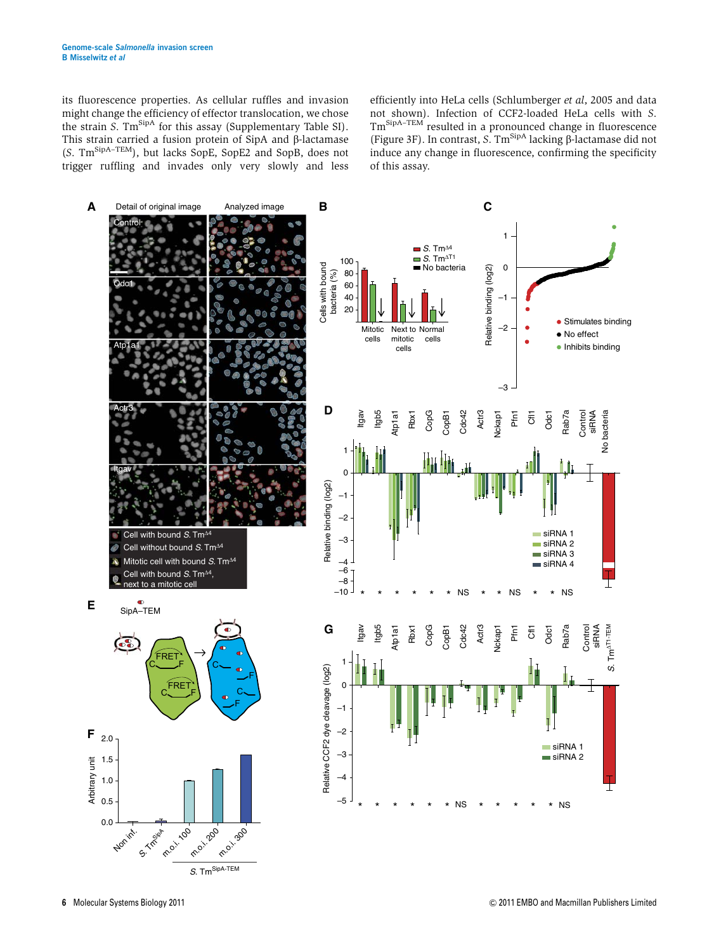its fluorescence properties. As cellular ruffles and invasion might change the efficiency of effector translocation, we chose the strain S. Tm<sup>SipA</sup> for this assay (Supplementary Table SI).<br>This strain carried a fusion protein of SipA and  $\beta$ -lactamase This strain carried a fusion protein of SipA and β-lactamase<br>(S. Tm<sup>SipA–TEM</sup>), but lacks SopE, SopE2 and SopB, does not trigger ruffling and invades only very slowly and less

efficiently into HeLa cells (Schlumberger et al, 2005 and data not shown). Infection of CCF2-loaded HeLa cells with S. TmSipA–TEM resulted in a pronounced change in fluorescence (Figure 3F). In contrast, S.  $Tm^{SpinA}$  lacking  $\beta$ -lactamase did not induce any change in fluorescence, confirming the specificity of this assay.

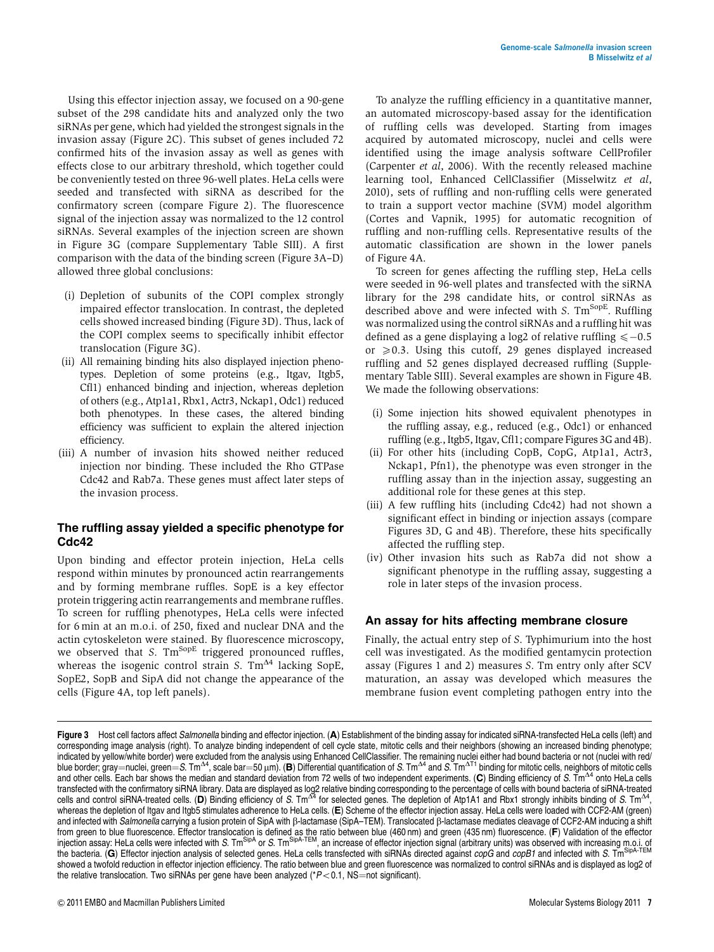Using this effector injection assay, we focused on a 90-gene subset of the 298 candidate hits and analyzed only the two siRNAs per gene, which had yielded the strongest signals in the invasion assay (Figure 2C). This subset of genes included 72 confirmed hits of the invasion assay as well as genes with effects close to our arbitrary threshold, which together could be conveniently tested on three 96-well plates. HeLa cells were seeded and transfected with siRNA as described for the confirmatory screen (compare Figure 2). The fluorescence signal of the injection assay was normalized to the 12 control siRNAs. Several examples of the injection screen are shown in Figure 3G (compare Supplementary Table SIII). A first comparison with the data of the binding screen (Figure 3A–D) allowed three global conclusions:

- (i) Depletion of subunits of the COPI complex strongly impaired effector translocation. In contrast, the depleted cells showed increased binding (Figure 3D). Thus, lack of the COPI complex seems to specifically inhibit effector translocation (Figure 3G).
- (ii) All remaining binding hits also displayed injection phenotypes. Depletion of some proteins (e.g., Itgav, Itgb5, Cfl1) enhanced binding and injection, whereas depletion of others (e.g., Atp1a1, Rbx1, Actr3, Nckap1, Odc1) reduced both phenotypes. In these cases, the altered binding efficiency was sufficient to explain the altered injection efficiency.
- (iii) A number of invasion hits showed neither reduced injection nor binding. These included the Rho GTPase Cdc42 and Rab7a. These genes must affect later steps of the invasion process.

#### The ruffling assay yielded a specific phenotype for Cdc42

Upon binding and effector protein injection, HeLa cells respond within minutes by pronounced actin rearrangements and by forming membrane ruffles. SopE is a key effector protein triggering actin rearrangements and membrane ruffles. To screen for ruffling phenotypes, HeLa cells were infected for 6 min at an m.o.i. of 250, fixed and nuclear DNA and the actin cytoskeleton were stained. By fluorescence microscopy, we observed that S.  $Tm^{SopE}$  triggered pronounced ruffles, whereas the isogenic control strain S.  $Tm^{4}$  lacking SopE, SopE2, SopB and SipA did not change the appearance of the cells (Figure 4A, top left panels).

To analyze the ruffling efficiency in a quantitative manner, an automated microscopy-based assay for the identification of ruffling cells was developed. Starting from images acquired by automated microscopy, nuclei and cells were identified using the image analysis software CellProfiler (Carpenter et al, 2006). With the recently released machine learning tool, Enhanced CellClassifier (Misselwitz et al, 2010), sets of ruffling and non-ruffling cells were generated to train a support vector machine (SVM) model algorithm (Cortes and Vapnik, 1995) for automatic recognition of ruffling and non-ruffling cells. Representative results of the automatic classification are shown in the lower panels of Figure 4A.

To screen for genes affecting the ruffling step, HeLa cells were seeded in 96-well plates and transfected with the siRNA library for the 298 candidate hits, or control siRNAs as described above and were infected with S.  $Tm^{SopE}$ . Ruffling was normalized using the control siRNAs and a ruffling hit was defined as a gene displaying a log2 of relative ruffling  $\leq -0.5$ or  $\geq 0.3$ . Using this cutoff, 29 genes displayed increased ruffling and 52 genes displayed decreased ruffling (Supplementary Table SIII). Several examples are shown in Figure 4B. We made the following observations:

- (i) Some injection hits showed equivalent phenotypes in the ruffling assay, e.g., reduced (e.g., Odc1) or enhanced ruffling (e.g., Itgb5, Itgav, Cfl1; compare Figures 3G and 4B).
- (ii) For other hits (including CopB, CopG, Atp1a1, Actr3, Nckap1, Pfn1), the phenotype was even stronger in the ruffling assay than in the injection assay, suggesting an additional role for these genes at this step.
- (iii) A few ruffling hits (including Cdc42) had not shown a significant effect in binding or injection assays (compare Figures 3D, G and 4B). Therefore, these hits specifically affected the ruffling step.
- (iv) Other invasion hits such as Rab7a did not show a significant phenotype in the ruffling assay, suggesting a role in later steps of the invasion process.

#### An assay for hits affecting membrane closure

Finally, the actual entry step of S. Typhimurium into the host cell was investigated. As the modified gentamycin protection assay (Figures 1 and 2) measures S. Tm entry only after SCV maturation, an assay was developed which measures the membrane fusion event completing pathogen entry into the

Figure 3 Host cell factors affect Salmonella binding and effector injection. (A) Establishment of the binding assay for indicated siRNA-transfected HeLa cells (left) and corresponding image analysis (right). To analyze binding independent of cell cycle state, mitotic cells and their neighbors (showing an increased binding phenotype; indicated by yellow/white border) were excluded from the analysis using Enhanced CellClassifier. The remaining nuclei either had bound bacteria or not (nuclei with red/<br>blue border; gray=nuclei, green=S. Tm<sup>A4</sup>, scale bar= transfected with the confirmatory siRNA library. Data are displayed as log2 relative binding corresponding to the percentage of cells with bound bacteria of siRNA-treated<br>cells and control siRNA-treated cells. (**D**) Bindin whereas the depletion of Itgav and Itgb5 stimulates adherence to HeLa cells. (E) Scheme of the effector injection assay. HeLa cells were loaded with CCF2-AM (green) and infected with *Salmonella* carrying a fusion protein of SipA with β-lactamase (SipA–TEM). Translocated β-lactamase mediates cleavage of CCF2-AM inducing a shift<br>from green to blue fluorescence. Effector translocation the bacteria. (G) Effector injection analysis of selected genes. HeLa cells transfected with siRNAs directed against *copG* and *copB1* and infected with S. Tm<sup>SipA-TEM</sup> showed a twofold reduction in effector injection efficiency. The ratio between blue and green fluorescence was normalized to control siRNAs and is displayed as log2 of the relative translocation. Two siRNAs per gene have been analyzed ( $P < 0.1$ , NS=not significant).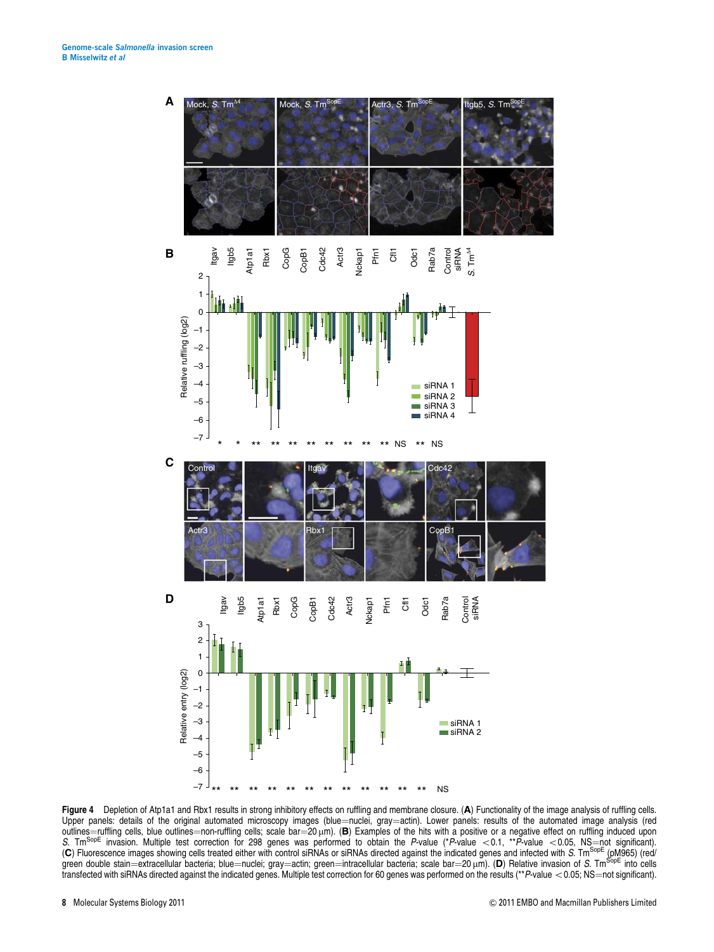

Figure 4 Depletion of Atp1a1 and Rbx1 results in strong inhibitory effects on ruffling and membrane closure. (A) Functionality of the image analysis of ruffling cells. Upper panels: details of the original automated microscopy images (blue=nuclei, gray=actin). Lower panels: results of the automated image analysis (red outlines=nuffling cells, blue outlines=non-ruffling cells; scale bar= outlines—ruffling cells, blue outlines—non-ruffling cells; scale bar—20µm). (**B**) Examples of the hits with a positive or a negative effect on ruffling induced upon<br>*S*. Tm<sup>SopE</sup> invasion. Multiple test correction for 298 green double stain—extracellular bacteria; blue—nuclei; gray—actin; green—intracellular bacteria; scale bar—20 μm). (D) Relative invasion of *S*. Tm<sup>SopE</sup> into cells<br>transfected with siRNAs directed against the indicated transfected with siRNAs directed against the indicated genes. Multiple test correction for 60 genes was performed on the results (\*\*P-value < 0.05; NS=not significant).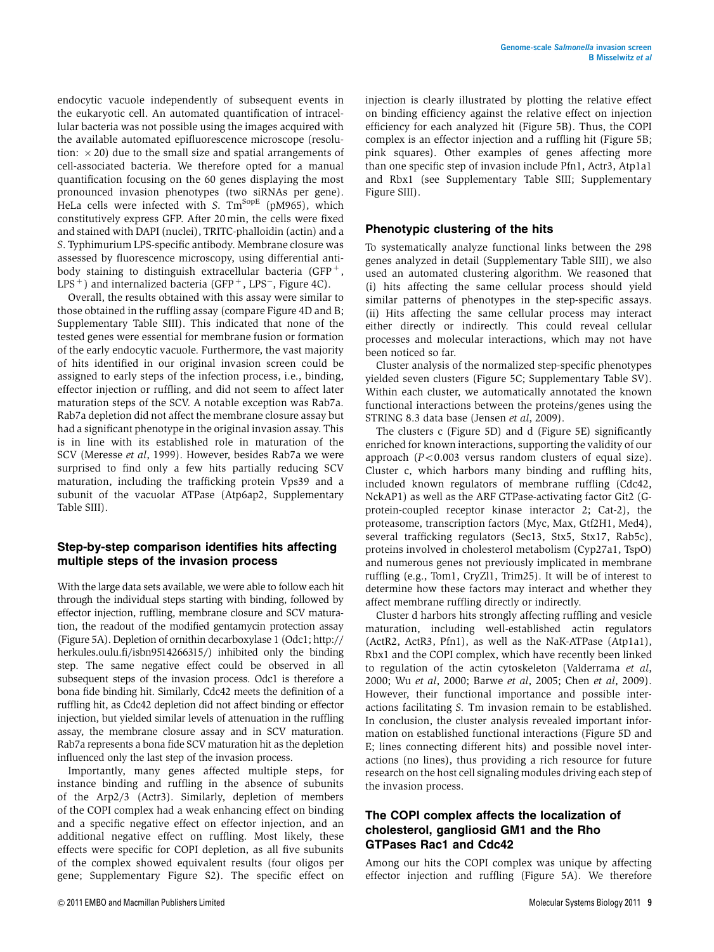endocytic vacuole independently of subsequent events in the eukaryotic cell. An automated quantification of intracellular bacteria was not possible using the images acquired with the available automated epifluorescence microscope (resolution:  $\times$  20) due to the small size and spatial arrangements of cell-associated bacteria. We therefore opted for a manual quantification focusing on the 60 genes displaying the most pronounced invasion phenotypes (two siRNAs per gene). HeLa cells were infected with S.  $Tm^{SopE}$  (pM965), which constitutively express GFP. After 20 min, the cells were fixed and stained with DAPI (nuclei), TRITC-phalloidin (actin) and a S. Typhimurium LPS-specific antibody. Membrane closure was assessed by fluorescence microscopy, using differential antibody staining to distinguish extracellular bacteria (GFP $^+$ , LPS  $^+$  ) and internalized bacteria (GFP  $^+$  , LPS $^-$  , Figure 4C).

Overall, the results obtained with this assay were similar to those obtained in the ruffling assay (compare Figure 4D and B; Supplementary Table SIII). This indicated that none of the tested genes were essential for membrane fusion or formation of the early endocytic vacuole. Furthermore, the vast majority of hits identified in our original invasion screen could be assigned to early steps of the infection process, i.e., binding, effector injection or ruffling, and did not seem to affect later maturation steps of the SCV. A notable exception was Rab7a. Rab7a depletion did not affect the membrane closure assay but had a significant phenotype in the original invasion assay. This is in line with its established role in maturation of the SCV (Meresse et al, 1999). However, besides Rab7a we were surprised to find only a few hits partially reducing SCV maturation, including the trafficking protein Vps39 and a subunit of the vacuolar ATPase (Atp6ap2, Supplementary Table SIII).

#### Step-by-step comparison identifies hits affecting multiple steps of the invasion process

With the large data sets available, we were able to follow each hit through the individual steps starting with binding, followed by effector injection, ruffling, membrane closure and SCV maturation, the readout of the modified gentamycin protection assay (Figure 5A). Depletion of ornithin decarboxylase 1 (Odc1; http:// herkules.oulu.fi/isbn9514266315/) inhibited only the binding step. The same negative effect could be observed in all subsequent steps of the invasion process. Odc1 is therefore a bona fide binding hit. Similarly, Cdc42 meets the definition of a ruffling hit, as Cdc42 depletion did not affect binding or effector injection, but yielded similar levels of attenuation in the ruffling assay, the membrane closure assay and in SCV maturation. Rab7a represents a bona fide SCV maturation hit as the depletion influenced only the last step of the invasion process.

Importantly, many genes affected multiple steps, for instance binding and ruffling in the absence of subunits of the Arp2/3 (Actr3). Similarly, depletion of members of the COPI complex had a weak enhancing effect on binding and a specific negative effect on effector injection, and an additional negative effect on ruffling. Most likely, these effects were specific for COPI depletion, as all five subunits of the complex showed equivalent results (four oligos per gene; Supplementary Figure S2). The specific effect on injection is clearly illustrated by plotting the relative effect on binding efficiency against the relative effect on injection efficiency for each analyzed hit (Figure 5B). Thus, the COPI complex is an effector injection and a ruffling hit (Figure 5B; pink squares). Other examples of genes affecting more than one specific step of invasion include Pfn1, Actr3, Atp1a1 and Rbx1 (see Supplementary Table SIII; Supplementary Figure SIII).

#### Phenotypic clustering of the hits

To systematically analyze functional links between the 298 genes analyzed in detail (Supplementary Table SIII), we also used an automated clustering algorithm. We reasoned that (i) hits affecting the same cellular process should yield similar patterns of phenotypes in the step-specific assays. (ii) Hits affecting the same cellular process may interact either directly or indirectly. This could reveal cellular processes and molecular interactions, which may not have been noticed so far.

Cluster analysis of the normalized step-specific phenotypes yielded seven clusters (Figure 5C; Supplementary Table SV). Within each cluster, we automatically annotated the known functional interactions between the proteins/genes using the STRING 8.3 data base (Jensen et al, 2009).

The clusters c (Figure 5D) and d (Figure 5E) significantly enriched for known interactions, supporting the validity of our approach  $(P<0.003$  versus random clusters of equal size). Cluster c, which harbors many binding and ruffling hits, included known regulators of membrane ruffling (Cdc42, NckAP1) as well as the ARF GTPase-activating factor Git2 (Gprotein-coupled receptor kinase interactor 2; Cat-2), the proteasome, transcription factors (Myc, Max, Gtf2H1, Med4), several trafficking regulators (Sec13, Stx5, Stx17, Rab5c), proteins involved in cholesterol metabolism (Cyp27a1, TspO) and numerous genes not previously implicated in membrane ruffling (e.g., Tom1, CryZl1, Trim25). It will be of interest to determine how these factors may interact and whether they affect membrane ruffling directly or indirectly.

Cluster d harbors hits strongly affecting ruffling and vesicle maturation, including well-established actin regulators (ActR2, ActR3, Pfn1), as well as the NaK-ATPase (Atp1a1), Rbx1 and the COPI complex, which have recently been linked to regulation of the actin cytoskeleton (Valderrama et al, 2000; Wu et al, 2000; Barwe et al, 2005; Chen et al, 2009). However, their functional importance and possible interactions facilitating S. Tm invasion remain to be established. In conclusion, the cluster analysis revealed important information on established functional interactions (Figure 5D and E; lines connecting different hits) and possible novel interactions (no lines), thus providing a rich resource for future research on the host cell signaling modules driving each step of the invasion process.

#### The COPI complex affects the localization of cholesterol, gangliosid GM1 and the Rho GTPases Rac1 and Cdc42

Among our hits the COPI complex was unique by affecting effector injection and ruffling (Figure 5A). We therefore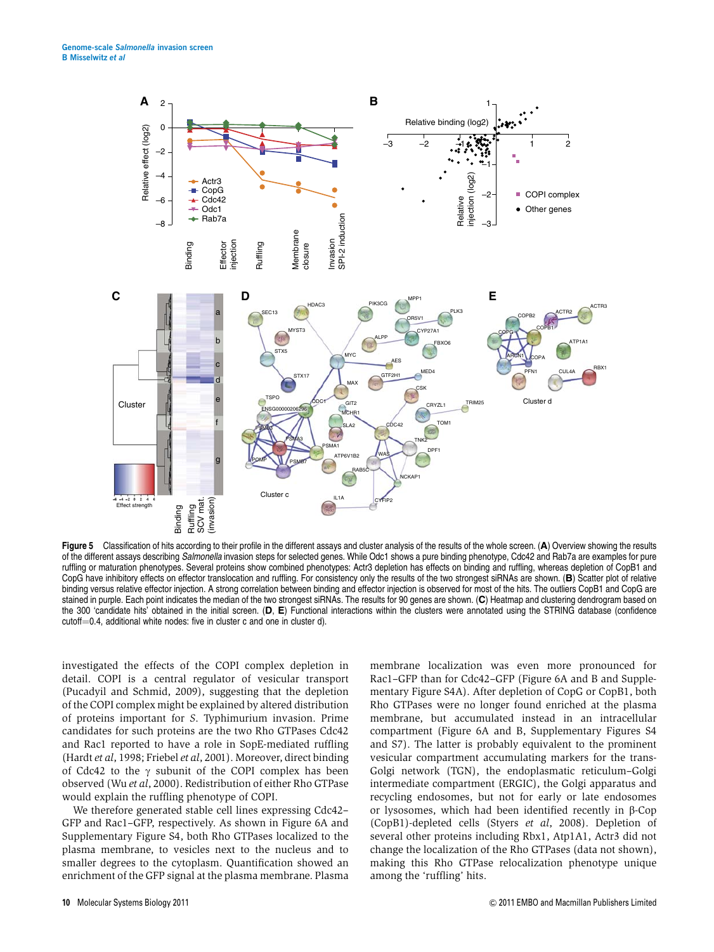

Figure 5 Classification of hits according to their profile in the different assays and cluster analysis of the results of the whole screen. (A) Overview showing the results of the different assays describing Salmonella invasion steps for selected genes. While Odc1 shows a pure binding phenotype, Cdc42 and Rab7a are examples for pure ruffling or maturation phenotypes. Several proteins show combined phenotypes: Actr3 depletion has effects on binding and ruffling, whereas depletion of CopB1 and CopG have inhibitory effects on effector translocation and ruffling. For consistency only the results of the two strongest siRNAs are shown. (B) Scatter plot of relative binding versus relative effector injection. A strong correlation between binding and effector injection is observed for most of the hits. The outliers CopB1 and CopG are stained in purple. Each point indicates the median of the two strongest siRNAs. The results for 90 genes are shown. (C) Heatmap and clustering dendrogram based on the 300 'candidate hits' obtained in the initial screen.  $(D, E)$  Functional interactions within the clusters were annotated using the STRING database (confidence cutoff=0.4, additional white nodes: five in cluster c and one in cluster d).

investigated the effects of the COPI complex depletion in detail. COPI is a central regulator of vesicular transport (Pucadyil and Schmid, 2009), suggesting that the depletion of the COPI complex might be explained by altered distribution of proteins important for S. Typhimurium invasion. Prime candidates for such proteins are the two Rho GTPases Cdc42 and Rac1 reported to have a role in SopE-mediated ruffling (Hardt et al, 1998; Friebel et al, 2001). Moreover, direct binding of Cdc42 to the  $\gamma$  subunit of the COPI complex has been observed (Wu et al, 2000). Redistribution of either Rho GTPase would explain the ruffling phenotype of COPI.

We therefore generated stable cell lines expressing Cdc42– GFP and Rac1–GFP, respectively. As shown in Figure 6A and Supplementary Figure S4, both Rho GTPases localized to the plasma membrane, to vesicles next to the nucleus and to smaller degrees to the cytoplasm. Quantification showed an enrichment of the GFP signal at the plasma membrane. Plasma

membrane localization was even more pronounced for Rac1–GFP than for Cdc42–GFP (Figure 6A and B and Supplementary Figure S4A). After depletion of CopG or CopB1, both Rho GTPases were no longer found enriched at the plasma membrane, but accumulated instead in an intracellular compartment (Figure 6A and B, Supplementary Figures S4 and S7). The latter is probably equivalent to the prominent vesicular compartment accumulating markers for the trans-Golgi network (TGN), the endoplasmatic reticulum–Golgi intermediate compartment (ERGIC), the Golgi apparatus and recycling endosomes, but not for early or late endosomes or lysosomes, which had been identified recently in  $\beta$ -Cop (CopB1)-depleted cells (Styers et al, 2008). Depletion of several other proteins including Rbx1, Atp1A1, Actr3 did not change the localization of the Rho GTPases (data not shown), making this Rho GTPase relocalization phenotype unique among the 'ruffling' hits.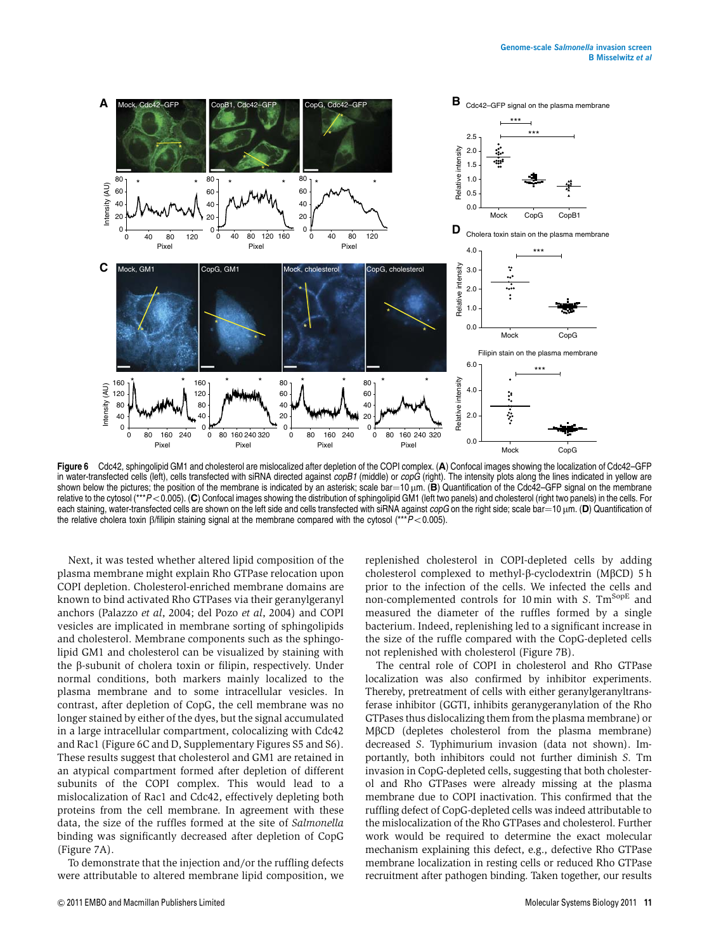

Figure 6 Cdc42, sphingolipid GM1 and cholesterol are mislocalized after depletion of the COPI complex. (A) Confocal images showing the localization of Cdc42–GFP in water-transfected cells (left), cells transfected with siRNA directed against *copB1* (middle) or *copG* (right). The intensity plots along the lines indicated in yellow are shown below the pictures; the position of th shown below the pictures; the position of the membrane is indicated by an asterisk; scale bar=10 µm. (B) Quantification of the Cdc42–GFP signal on the membrane<br>relative to the cytosol (\*\*\*P<0.005). (C) Confocal images show each staining, water-transfected cells are shown on the left side and cells transfected with siRNA against *copG* on the right side; scale bar=10 µm. (D) Quantification of the relative cholera toxin  $\beta$ /filipin staining signal at the membrane compared with the cytosol (\*\*\* $P$ <0.005).

Next, it was tested whether altered lipid composition of the plasma membrane might explain Rho GTPase relocation upon COPI depletion. Cholesterol-enriched membrane domains are known to bind activated Rho GTPases via their geranylgeranyl anchors (Palazzo et al, 2004; del Pozo et al, 2004) and COPI vesicles are implicated in membrane sorting of sphingolipids and cholesterol. Membrane components such as the sphingolipid GM1 and cholesterol can be visualized by staining with the  $\beta$ -subunit of cholera toxin or filipin, respectively. Under normal conditions, both markers mainly localized to the plasma membrane and to some intracellular vesicles. In contrast, after depletion of CopG, the cell membrane was no longer stained by either of the dyes, but the signal accumulated in a large intracellular compartment, colocalizing with Cdc42 and Rac1 (Figure 6C and D, Supplementary Figures S5 and S6). These results suggest that cholesterol and GM1 are retained in an atypical compartment formed after depletion of different subunits of the COPI complex. This would lead to a mislocalization of Rac1 and Cdc42, effectively depleting both proteins from the cell membrane. In agreement with these data, the size of the ruffles formed at the site of Salmonella binding was significantly decreased after depletion of CopG (Figure 7A).

To demonstrate that the injection and/or the ruffling defects were attributable to altered membrane lipid composition, we replenished cholesterol in COPI-depleted cells by adding cholesterol complexed to methyl- $\beta$ -cyclodextrin (M $\beta$ CD) 5 h prior to the infection of the cells. We infected the cells and non-complemented controls for 10 min with  $S$ . Tm<sup>SopE</sup> and measured the diameter of the ruffles formed by a single bacterium. Indeed, replenishing led to a significant increase in the size of the ruffle compared with the CopG-depleted cells not replenished with cholesterol (Figure 7B).

The central role of COPI in cholesterol and Rho GTPase localization was also confirmed by inhibitor experiments. Thereby, pretreatment of cells with either geranylgeranyltransferase inhibitor (GGTI, inhibits geranygeranylation of the Rho GTPases thus dislocalizing them from the plasma membrane) or M<sub>B</sub>CD (depletes cholesterol from the plasma membrane) decreased S. Typhimurium invasion (data not shown). Importantly, both inhibitors could not further diminish S. Tm invasion in CopG-depleted cells, suggesting that both cholesterol and Rho GTPases were already missing at the plasma membrane due to COPI inactivation. This confirmed that the ruffling defect of CopG-depleted cells was indeed attributable to the mislocalization of the Rho GTPases and cholesterol. Further work would be required to determine the exact molecular mechanism explaining this defect, e.g., defective Rho GTPase membrane localization in resting cells or reduced Rho GTPase recruitment after pathogen binding. Taken together, our results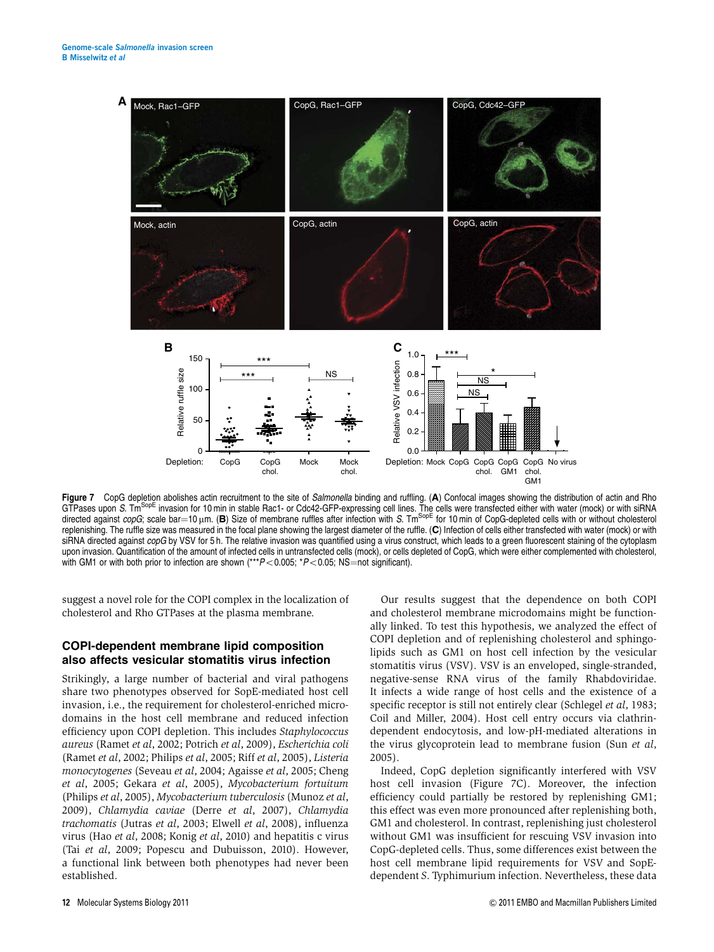

Figure 7 CopG depletion abolishes actin recruitment to the site of Salmonella binding and ruffling. (A) Confocal images showing the distribution of actin and Rho GTPases upon *S*. Tm<sup>SopE</sup> invasion for 10 min in stable Rac1- or Cdc42-GFP-expressing cell lines. The cells were transfected either with water (mock) or with siRNA directed against *copG*; scale bar=10 μm. (Β) Size of membrane ruffles after infection with S. Tm<sup>SopE</sup> for 10 min of CopG-depleted cells with or without cholesterol<br>replenishing. The ruffle size was measured in the focal replenishing. The ruffle size was measured in the focal plane showing the largest diameter of the ruffle. (C) Infection of cells either transfected with water (mock) or with siRNA directed against copG by VSV for 5 h. The relative invasion was quantified using a virus construct, which leads to a green fluorescent staining of the cytoplasm upon invasion. Quantification of the amount of infected cells in untransfected cells (mock), or cells depleted of CopG, which were either complemented with cholesterol, with GM1 or with both prior to infection are shown  $(**P<0.005; P<0.05; NS=$ not significant).

suggest a novel role for the COPI complex in the localization of cholesterol and Rho GTPases at the plasma membrane.

#### COPI-dependent membrane lipid composition also affects vesicular stomatitis virus infection

Strikingly, a large number of bacterial and viral pathogens share two phenotypes observed for SopE-mediated host cell invasion, i.e., the requirement for cholesterol-enriched microdomains in the host cell membrane and reduced infection efficiency upon COPI depletion. This includes Staphylococcus aureus (Ramet et al, 2002; Potrich et al, 2009), Escherichia coli (Ramet et al, 2002; Philips et al, 2005; Riff et al, 2005), Listeria monocytogenes (Seveau et al, 2004; Agaisse et al, 2005; Cheng et al, 2005; Gekara et al, 2005), Mycobacterium fortuitum (Philips et al, 2005), Mycobacterium tuberculosis (Munoz et al, 2009), Chlamydia caviae (Derre et al, 2007), Chlamydia trachomatis (Jutras et al, 2003; Elwell et al, 2008), influenza virus (Hao et al, 2008; Konig et al, 2010) and hepatitis c virus (Tai et al, 2009; Popescu and Dubuisson, 2010). However, a functional link between both phenotypes had never been established.

Our results suggest that the dependence on both COPI and cholesterol membrane microdomains might be functionally linked. To test this hypothesis, we analyzed the effect of COPI depletion and of replenishing cholesterol and sphingolipids such as GM1 on host cell infection by the vesicular stomatitis virus (VSV). VSV is an enveloped, single-stranded, negative-sense RNA virus of the family Rhabdoviridae. It infects a wide range of host cells and the existence of a specific receptor is still not entirely clear (Schlegel *et al*, 1983; Coil and Miller, 2004). Host cell entry occurs via clathrindependent endocytosis, and low-pH-mediated alterations in the virus glycoprotein lead to membrane fusion (Sun et al, 2005).

Indeed, CopG depletion significantly interfered with VSV host cell invasion (Figure 7C). Moreover, the infection efficiency could partially be restored by replenishing GM1; this effect was even more pronounced after replenishing both, GM1 and cholesterol. In contrast, replenishing just cholesterol without GM1 was insufficient for rescuing VSV invasion into CopG-depleted cells. Thus, some differences exist between the host cell membrane lipid requirements for VSV and SopEdependent S. Typhimurium infection. Nevertheless, these data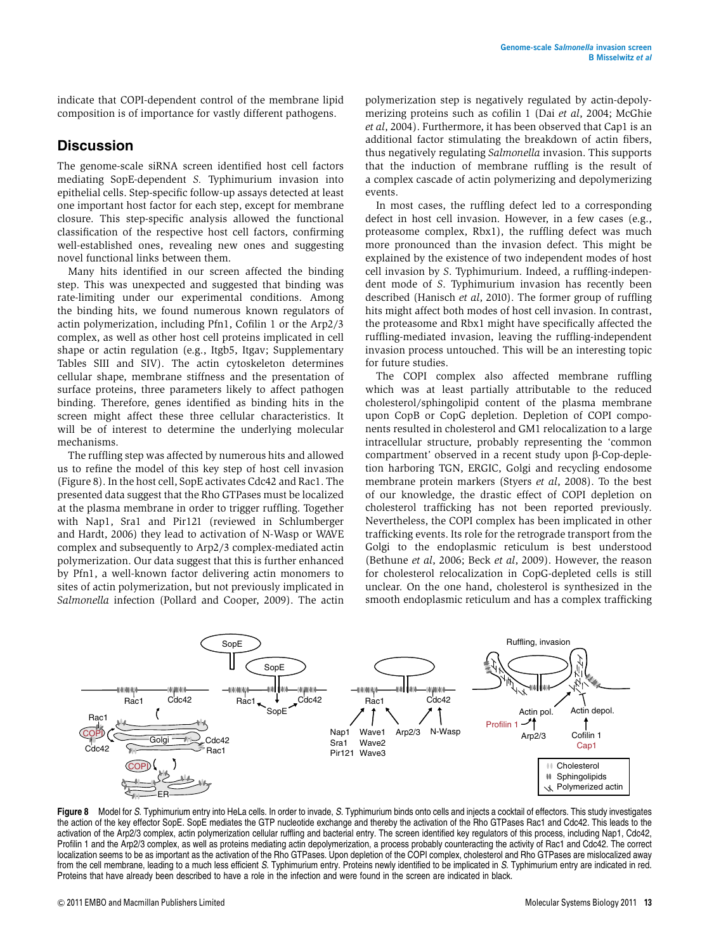indicate that COPI-dependent control of the membrane lipid composition is of importance for vastly different pathogens.

#### **Discussion**

The genome-scale siRNA screen identified host cell factors mediating SopE-dependent S. Typhimurium invasion into epithelial cells. Step-specific follow-up assays detected at least one important host factor for each step, except for membrane closure. This step-specific analysis allowed the functional classification of the respective host cell factors, confirming well-established ones, revealing new ones and suggesting novel functional links between them.

Many hits identified in our screen affected the binding step. This was unexpected and suggested that binding was rate-limiting under our experimental conditions. Among the binding hits, we found numerous known regulators of actin polymerization, including Pfn1, Cofilin 1 or the Arp2/3 complex, as well as other host cell proteins implicated in cell shape or actin regulation (e.g., Itgb5, Itgav; Supplementary Tables SIII and SIV). The actin cytoskeleton determines cellular shape, membrane stiffness and the presentation of surface proteins, three parameters likely to affect pathogen binding. Therefore, genes identified as binding hits in the screen might affect these three cellular characteristics. It will be of interest to determine the underlying molecular mechanisms.

The ruffling step was affected by numerous hits and allowed us to refine the model of this key step of host cell invasion (Figure 8). In the host cell, SopE activates Cdc42 and Rac1. The presented data suggest that the Rho GTPases must be localized at the plasma membrane in order to trigger ruffling. Together with Nap1, Sra1 and Pir121 (reviewed in Schlumberger and Hardt, 2006) they lead to activation of N-Wasp or WAVE complex and subsequently to Arp2/3 complex-mediated actin polymerization. Our data suggest that this is further enhanced by Pfn1, a well-known factor delivering actin monomers to sites of actin polymerization, but not previously implicated in Salmonella infection (Pollard and Cooper, 2009). The actin

polymerization step is negatively regulated by actin-depolymerizing proteins such as cofilin 1 (Dai et al, 2004; McGhie et al, 2004). Furthermore, it has been observed that Cap1 is an additional factor stimulating the breakdown of actin fibers, thus negatively regulating Salmonella invasion. This supports that the induction of membrane ruffling is the result of a complex cascade of actin polymerizing and depolymerizing events.

In most cases, the ruffling defect led to a corresponding defect in host cell invasion. However, in a few cases (e.g., proteasome complex, Rbx1), the ruffling defect was much more pronounced than the invasion defect. This might be explained by the existence of two independent modes of host cell invasion by S. Typhimurium. Indeed, a ruffling-independent mode of S. Typhimurium invasion has recently been described (Hanisch et al, 2010). The former group of ruffling hits might affect both modes of host cell invasion. In contrast, the proteasome and Rbx1 might have specifically affected the ruffling-mediated invasion, leaving the ruffling-independent invasion process untouched. This will be an interesting topic for future studies.

The COPI complex also affected membrane ruffling which was at least partially attributable to the reduced cholesterol/sphingolipid content of the plasma membrane upon CopB or CopG depletion. Depletion of COPI components resulted in cholesterol and GM1 relocalization to a large intracellular structure, probably representing the 'common compartment' observed in a recent study upon  $\beta$ -Cop-depletion harboring TGN, ERGIC, Golgi and recycling endosome membrane protein markers (Styers et al, 2008). To the best of our knowledge, the drastic effect of COPI depletion on cholesterol trafficking has not been reported previously. Nevertheless, the COPI complex has been implicated in other trafficking events. Its role for the retrograde transport from the Golgi to the endoplasmic reticulum is best understood (Bethune et al, 2006; Beck et al, 2009). However, the reason for cholesterol relocalization in CopG-depleted cells is still unclear. On the one hand, cholesterol is synthesized in the smooth endoplasmic reticulum and has a complex trafficking



Figure 8 Model for S. Typhimurium entry into HeLa cells. In order to invade, S. Typhimurium binds onto cells and injects a cocktail of effectors. This study investigates the action of the key effector SopE. SopE mediates the GTP nucleotide exchange and thereby the activation of the Rho GTPases Rac1 and Cdc42. This leads to the activation of the Arp2/3 complex, actin polymerization cellular ruffling and bacterial entry. The screen identified key regulators of this process, including Nap1, Cdc42, Profilin 1 and the Arp2/3 complex, as well as proteins mediating actin depolymerization, a process probably counteracting the activity of Rac1 and Cdc42. The correct localization seems to be as important as the activation of the Rho GTPases. Upon depletion of the COPI complex, cholesterol and Rho GTPases are mislocalized away from the cell membrane, leading to a much less efficient S. Typhimurium entry. Proteins newly identified to be implicated in S. Typhimurium entry are indicated in red. Proteins that have already been described to have a role in the infection and were found in the screen are indicated in black.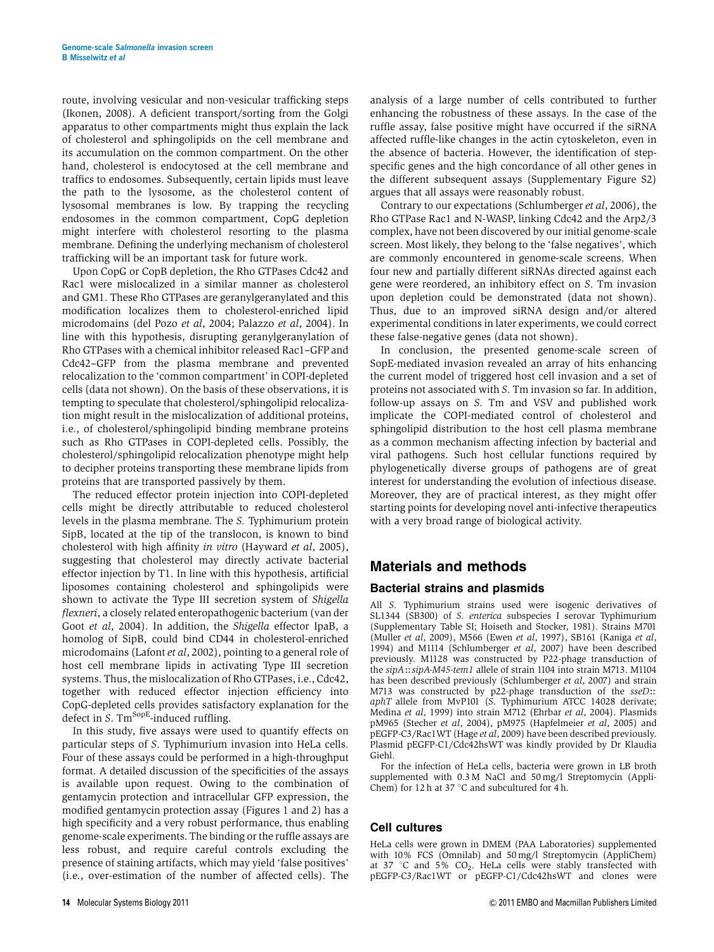route, involving vesicular and non-vesicular trafficking steps (Ikonen, 2008). A deficient transport/sorting from the Golgi apparatus to other compartments might thus explain the lack of cholesterol and sphingolipids on the cell membrane and its accumulation on the common compartment. On the other hand, cholesterol is endocytosed at the cell membrane and traffics to endosomes. Subsequently, certain lipids must leave the path to the lysosome, as the cholesterol content of lysosomal membranes is low. By trapping the recycling endosomes in the common compartment, CopG depletion might interfere with cholesterol resorting to the plasma membrane. Defining the underlying mechanism of cholesterol trafficking will be an important task for future work.

Upon CopG or CopB depletion, the Rho GTPases Cdc42 and Rac1 were mislocalized in a similar manner as cholesterol and GM1. These Rho GTPases are geranylgeranylated and this modification localizes them to cholesterol-enriched lipid microdomains (del Pozo et al, 2004; Palazzo et al, 2004). In line with this hypothesis, disrupting geranylgeranylation of Rho GTPases with a chemical inhibitor released Rac1–GFP and Cdc42–GFP from the plasma membrane and prevented relocalization to the 'common compartment' in COPI-depleted cells (data not shown). On the basis of these observations, it is tempting to speculate that cholesterol/sphingolipid relocalization might result in the mislocalization of additional proteins, i.e., of cholesterol/sphingolipid binding membrane proteins such as Rho GTPases in COPI-depleted cells. Possibly, the cholesterol/sphingolipid relocalization phenotype might help to decipher proteins transporting these membrane lipids from proteins that are transported passively by them.

The reduced effector protein injection into COPI-depleted cells might be directly attributable to reduced cholesterol levels in the plasma membrane. The S. Typhimurium protein SipB, located at the tip of the translocon, is known to bind cholesterol with high affinity in vitro (Hayward et al, 2005), suggesting that cholesterol may directly activate bacterial effector injection by T1. In line with this hypothesis, artificial liposomes containing cholesterol and sphingolipids were shown to activate the Type III secretion system of Shigella flexneri, a closely related enteropathogenic bacterium (van der Goot et al, 2004). In addition, the Shigella effector IpaB, a homolog of SipB, could bind CD44 in cholesterol-enriched microdomains (Lafont et al, 2002), pointing to a general role of host cell membrane lipids in activating Type III secretion systems. Thus, the mislocalization of Rho GTPases, i.e., Cdc42, together with reduced effector injection efficiency into CopG-depleted cells provides satisfactory explanation for the defect in  $S$ . Tm<sup>SopE</sup>-induced ruffling.

In this study, five assays were used to quantify effects on particular steps of S. Typhimurium invasion into HeLa cells. Four of these assays could be performed in a high-throughput format. A detailed discussion of the specificities of the assays is available upon request. Owing to the combination of gentamycin protection and intracellular GFP expression, the modified gentamycin protection assay (Figures 1 and 2) has a high specificity and a very robust performance, thus enabling genome-scale experiments. The binding or the ruffle assays are less robust, and require careful controls excluding the presence of staining artifacts, which may yield 'false positives' (i.e., over-estimation of the number of affected cells). The

analysis of a large number of cells contributed to further enhancing the robustness of these assays. In the case of the ruffle assay, false positive might have occurred if the siRNA affected ruffle-like changes in the actin cytoskeleton, even in the absence of bacteria. However, the identification of stepspecific genes and the high concordance of all other genes in the different subsequent assays (Supplementary Figure S2) argues that all assays were reasonably robust.

Contrary to our expectations (Schlumberger et al, 2006), the Rho GTPase Rac1 and N-WASP, linking Cdc42 and the Arp2/3 complex, have not been discovered by our initial genome-scale screen. Most likely, they belong to the 'false negatives', which are commonly encountered in genome-scale screens. When four new and partially different siRNAs directed against each gene were reordered, an inhibitory effect on S. Tm invasion upon depletion could be demonstrated (data not shown). Thus, due to an improved siRNA design and/or altered experimental conditions in later experiments, we could correct these false-negative genes (data not shown).

In conclusion, the presented genome-scale screen of SopE-mediated invasion revealed an array of hits enhancing the current model of triggered host cell invasion and a set of proteins not associated with S. Tm invasion so far. In addition, follow-up assays on S. Tm and VSV and published work implicate the COPI-mediated control of cholesterol and sphingolipid distribution to the host cell plasma membrane as a common mechanism affecting infection by bacterial and viral pathogens. Such host cellular functions required by phylogenetically diverse groups of pathogens are of great interest for understanding the evolution of infectious disease. Moreover, they are of practical interest, as they might offer starting points for developing novel anti-infective therapeutics with a very broad range of biological activity.

#### Materials and methods

#### Bacterial strains and plasmids

All S. Typhimurium strains used were isogenic derivatives of SL1344 (SB300) of S. enterica subspecies I serovar Typhimurium (Supplementary Table SI; Hoiseth and Stocker, 1981). Strains M701 (Muller et al, 2009), M566 (Ewen et al, 1997), SB161 (Kaniga et al, 1994) and M1114 (Schlumberger et al, 2007) have been described previously. M1128 was constructed by P22-phage transduction of the  $sipA::sipA-M45-tem1$  allele of strain 1104 into strain M713. M1104 has been described previously (Schlumberger et al, 2007) and strain M713 was constructed by p22-phage transduction of the sseD:: aphT allele from MvP101 (S. Typhimurium ATCC 14028 derivate; Medina et al, 1999) into strain M712 (Ehrbar et al, 2004). Plasmids pM965 (Stecher et al, 2004), pM975 (Hapfelmeier et al, 2005) and pEGFP-C3/Rac1WT (Hage et al, 2009) have been described previously. Plasmid pEGFP-C1/Cdc42hsWT was kindly provided by Dr Klaudia Giehl.

For the infection of HeLa cells, bacteria were grown in LB broth supplemented with 0.3 M NaCl and 50 mg/l Streptomycin (Appli-Chem) for 12 h at 37  $\degree$ C and subcultured for 4 h.

#### Cell cultures

HeLa cells were grown in DMEM (PAA Laboratories) supplemented with 10% FCS (Omnilab) and 50 mg/l Streptomycin (AppliChem) at 37 °C and 5%  $CO<sub>2</sub>$ . HeLa cells were stably transfected with pEGFP-C3/Rac1WT or pEGFP-C1/Cdc42hsWT and clones were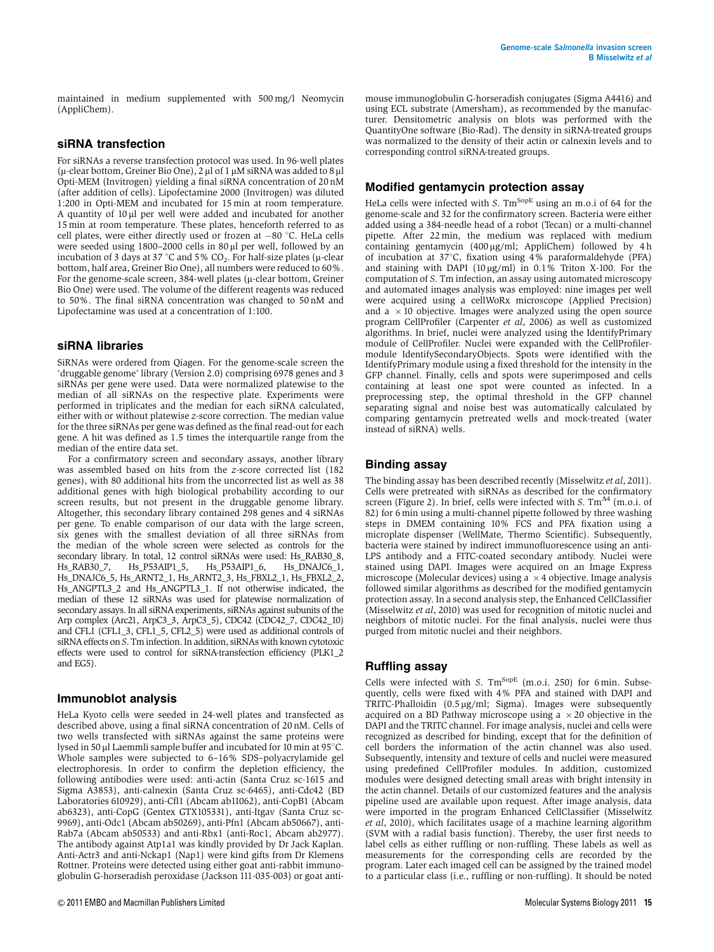maintained in medium supplemented with 500 mg/l Neomycin (AppliChem).

#### siRNA transfection

For siRNAs a reverse transfection protocol was used. In 96-well plates  $(\mu$ -clear bottom, Greiner Bio One), 2  $\mu$ l of 1  $\mu$ M siRNA was added to 8  $\mu$ l Opti-MEM (Invitrogen) yielding a final siRNA concentration of 20 nM (after addition of cells). Lipofectamine 2000 (Invitrogen) was diluted 1:200 in Opti-MEM and incubated for 15 min at room temperature. A quantity of  $10 \mu l$  per well were added and incubated for another 15 min at room temperature. These plates, henceforth referred to as cell plates, were either directly used or frozen at  $-80^{\circ}$ C. HeLa cells were seeded using 1800–2000 cells in 80 µl per well, followed by an<br>incubation of 3 days at 37 °C and 5% CO<sub>2</sub>. For half-size plates (u-clear incubation of 3 days at 37 °C and 5% CO<sub>2</sub>. For half-size plates (µ-clear<br>bottom, half area. Greiner Bio One), all numbers were reduced to 60% bottom, half area, Greiner Bio One), all numbers were reduced to 60%. For the genome-scale screen,  $384$ -well plates ( $\mu$ -clear bottom, Greiner Bio One) were used. The volume of the different reagents was reduced to 50%. The final siRNA concentration was changed to 50 nM and Lipofectamine was used at a concentration of 1:100.

#### siRNA libraries

SiRNAs were ordered from Qiagen. For the genome-scale screen the 'druggable genome' library (Version 2.0) comprising 6978 genes and 3 siRNAs per gene were used. Data were normalized platewise to the median of all siRNAs on the respective plate. Experiments were performed in triplicates and the median for each siRNA calculated, either with or without platewise z-score correction. The median value for the three siRNAs per gene was defined as the final read-out for each gene. A hit was defined as 1.5 times the interquartile range from the median of the entire data set.

For a confirmatory screen and secondary assays, another library was assembled based on hits from the z-score corrected list (182 genes), with 80 additional hits from the uncorrected list as well as 38 additional genes with high biological probability according to our screen results, but not present in the druggable genome library. Altogether, this secondary library contained 298 genes and 4 siRNAs per gene. To enable comparison of our data with the large screen, six genes with the smallest deviation of all three siRNAs from the median of the whole screen were selected as controls for the secondary library. In total, 12 control siRNAs were used: Hs\_RAB30\_8,<br>Hs RAB30\_7, Hs P53AIP1\_5, Hs P53AIP1\_6, Hs DNAJC6\_1, Hs\_P53AIP1\_5, Hs\_P53AIP1\_6, Hs\_DNAJC6\_1, Hs\_DNAJC6\_5, Hs\_ARNT2\_1, Hs\_ARNT2\_3, Hs\_FBXL2\_1, Hs\_FBXL2\_2, Hs\_ANGPTL3\_2 and Hs\_ANGPTL3\_1. If not otherwise indicated, the median of these 12 siRNAs was used for platewise normalization of secondary assays. In all siRNA experiments, siRNAs against subunits of the Arp complex (Arc21, ArpC3\_3, ArpC3\_5), CDC42 (CDC42\_7, CDC42\_10) and CFL1 (CFL1\_3, CFL1\_5, CFL2\_5) were used as additional controls of siRNA effects on S. Tm infection. In addition, siRNAs with known cytotoxic effects were used to control for siRNA-transfection efficiency (PLK1\_2 and EG5).

#### Immunoblot analysis

HeLa Kyoto cells were seeded in 24-well plates and transfected as described above, using a final siRNA concentration of 20 nM. Cells of two wells transfected with siRNAs against the same proteins were lysed in 50  $\mu$ l Laemmli sample buffer and incubated for 10 min at 95 $\degree$ C. Whole samples were subjected to 6–16% SDS–polyacrylamide gel electrophoresis. In order to confirm the depletion efficiency, the following antibodies were used: anti-actin (Santa Cruz sc-1615 and Sigma A3853), anti-calnexin (Santa Cruz sc-6465), anti-Cdc42 (BD Laboratories 610929), anti-Cfl1 (Abcam ab11062), anti-CopB1 (Abcam ab6323), anti-CopG (Gentex GTX105331), anti-Itgav (Santa Cruz sc-9969), anti-Odc1 (Abcam ab50269), anti-Pfn1 (Abcam ab50667), anti-Rab7a (Abcam ab50533) and anti-Rbx1 (anti-Roc1, Abcam ab2977). The antibody against Atp1a1 was kindly provided by Dr Jack Kaplan. Anti-Actr3 and anti-Nckap1 (Nap1) were kind gifts from Dr Klemens Rottner. Proteins were detected using either goat anti-rabbit immunoglobulin G-horseradish peroxidase (Jackson 111-035-003) or goat antimouse immunoglobulin G-horseradish conjugates (Sigma A4416) and using ECL substrate (Amersham), as recommended by the manufacturer. Densitometric analysis on blots was performed with the QuantityOne software (Bio-Rad). The density in siRNA-treated groups was normalized to the density of their actin or calnexin levels and to corresponding control siRNA-treated groups.

#### Modified gentamycin protection assay

HeLa cells were infected with S.  $\text{Tm}^{\text{SopE}}$  using an m.o.i of 64 for the genome-scale and 32 for the confirmatory screen. Bacteria were either added using a 384-needle head of a robot (Tecan) or a multi-channel pipette. After 22 min, the medium was replaced with medium containing gentamycin  $(400 \,\mu\text{g/ml};$  AppliChem) followed by 4h of incubation at 37°C, fixation using 4% paraformaldehyde (PFA) and staining with DAPI (10  $\mu$ g/ml) in 0.1% Triton X-100. For the computation of S. Tm infection, an assay using automated microscopy and automated images analysis was employed: nine images per well were acquired using a cellWoRx microscope (Applied Precision) and a  $\times$  10 objective. Images were analyzed using the open source program CellProfiler (Carpenter et al, 2006) as well as customized algorithms. In brief, nuclei were analyzed using the IdentifyPrimary module of CellProfiler. Nuclei were expanded with the CellProfilermodule IdentifySecondaryObjects. Spots were identified with the IdentifyPrimary module using a fixed threshold for the intensity in the GFP channel. Finally, cells and spots were superimposed and cells containing at least one spot were counted as infected. In a preprocessing step, the optimal threshold in the GFP channel separating signal and noise best was automatically calculated by comparing gentamycin pretreated wells and mock-treated (water instead of siRNA) wells.

#### Binding assay

The binding assay has been described recently (Misselwitz et al, 2011). Cells were pretreated with siRNAs as described for the confirmatory screen (Figure 2). In brief, cells were infected with S.  $Tm^{\Delta 4}$  (m.o.i. of 82) for 6 min using a multi-channel pipette followed by three washing steps in DMEM containing 10% FCS and PFA fixation using a microplate dispenser (WellMate, Thermo Scientific). Subsequently, bacteria were stained by indirect immunofluorescence using an anti-LPS antibody and a FITC-coated secondary antibody. Nuclei were stained using DAPI. Images were acquired on an Image Express microscope (Molecular devices) using  $a \times 4$  objective. Image analysis followed similar algorithms as described for the modified gentamycin protection assay. In a second analysis step, the Enhanced CellClassifier (Misselwitz et al, 2010) was used for recognition of mitotic nuclei and neighbors of mitotic nuclei. For the final analysis, nuclei were thus purged from mitotic nuclei and their neighbors.

#### Ruffling assay

Cells were infected with S.  $Tm^{SopE}$  (m.o.i. 250) for 6 min. Subsequently, cells were fixed with 4% PFA and stained with DAPI and TRITC-Phalloidin  $(0.5 \,\mu\text{g/ml}; \text{Sigma})$ . Images were subsequently acquired on a BD Pathway microscope using a  $\times$  20 objective in the DAPI and the TRITC channel. For image analysis, nuclei and cells were recognized as described for binding, except that for the definition of cell borders the information of the actin channel was also used. Subsequently, intensity and texture of cells and nuclei were measured using predefined CellProfiler modules. In addition, customized modules were designed detecting small areas with bright intensity in the actin channel. Details of our customized features and the analysis pipeline used are available upon request. After image analysis, data were imported in the program Enhanced CellClassifier (Misselwitz et al, 2010), which facilitates usage of a machine learning algorithm (SVM with a radial basis function). Thereby, the user first needs to label cells as either ruffling or non-ruffling. These labels as well as measurements for the corresponding cells are recorded by the program. Later each imaged cell can be assigned by the trained model to a particular class (i.e., ruffling or non-ruffling). It should be noted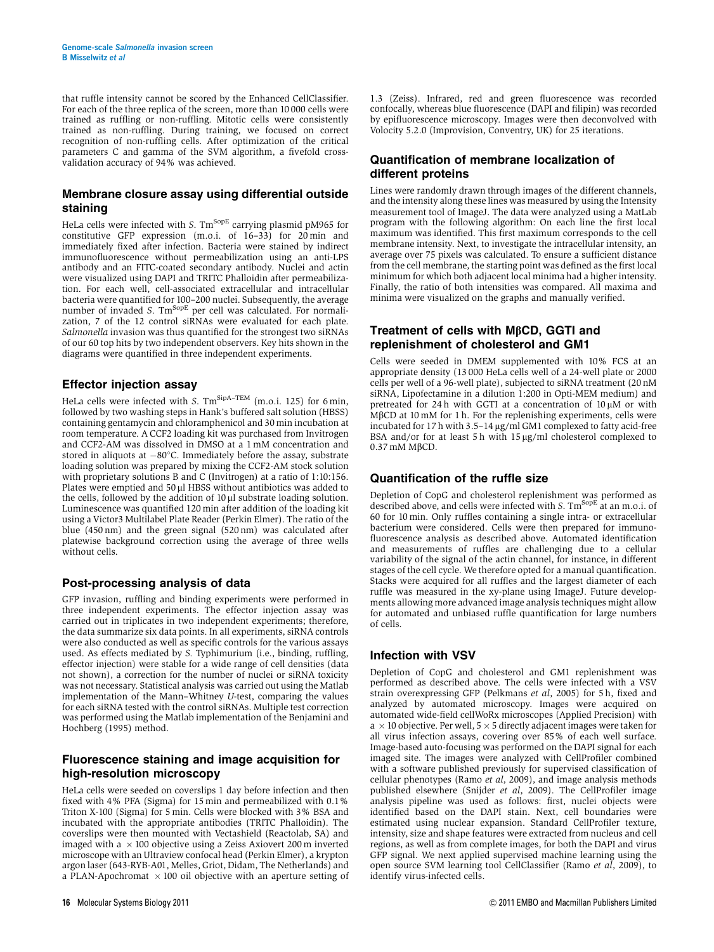that ruffle intensity cannot be scored by the Enhanced CellClassifier. For each of the three replica of the screen, more than 10 000 cells were trained as ruffling or non-ruffling. Mitotic cells were consistently trained as non-ruffling. During training, we focused on correct recognition of non-ruffling cells. After optimization of the critical parameters C and gamma of the SVM algorithm, a fivefold crossvalidation accuracy of 94% was achieved.

#### Membrane closure assay using differential outside staining

HeLa cells were infected with S.  $\text{Tm}^{\text{SopE}}$  carrying plasmid pM965 for constitutive GFP expression (m.o.i. of 16–33) for 20 min and immediately fixed after infection. Bacteria were stained by indirect immunofluorescence without permeabilization using an anti-LPS antibody and an FITC-coated secondary antibody. Nuclei and actin were visualized using DAPI and TRITC Phalloidin after permeabilization. For each well, cell-associated extracellular and intracellular bacteria were quantified for 100–200 nuclei. Subsequently, the average number of invaded S. Tm<sup>SopE</sup> per cell was calculated. For normalization, 7 of the 12 control siRNAs were evaluated for each plate. Salmonella invasion was thus quantified for the strongest two siRNAs of our 60 top hits by two independent observers. Key hits shown in the diagrams were quantified in three independent experiments.

#### Effector injection assay

HeLa cells were infected with S.  $\text{Tm}^{\text{SipA-TEM}}$  (m.o.i. 125) for 6 min, followed by two washing steps in Hank's buffered salt solution (HBSS) containing gentamycin and chloramphenicol and 30 min incubation at room temperature. A CCF2 loading kit was purchased from Invitrogen and CCF2-AM was dissolved in DMSO at a 1 mM concentration and stored in aliquots at  $-80^{\circ}$ C. Immediately before the assay, substrate loading solution was prepared by mixing the CCF2-AM stock solution with proprietary solutions B and C (Invitrogen) at a ratio of 1:10:156. Plates were emptied and 50 µl HBSS without antibiotics was added to the cells, followed by the addition of  $10 \mu l$  substrate loading solution. Luminescence was quantified 120 min after addition of the loading kit using a Victor3 Multilabel Plate Reader (Perkin Elmer). The ratio of the blue (450 nm) and the green signal (520 nm) was calculated after platewise background correction using the average of three wells without cells.

#### Post-processing analysis of data

GFP invasion, ruffling and binding experiments were performed in three independent experiments. The effector injection assay was carried out in triplicates in two independent experiments; therefore, the data summarize six data points. In all experiments, siRNA controls were also conducted as well as specific controls for the various assays used. As effects mediated by S. Typhimurium (i.e., binding, ruffling, effector injection) were stable for a wide range of cell densities (data not shown), a correction for the number of nuclei or siRNA toxicity was not necessary. Statistical analysis was carried out using the Matlab implementation of the Mann–Whitney U-test, comparing the values for each siRNA tested with the control siRNAs. Multiple test correction was performed using the Matlab implementation of the Benjamini and Hochberg (1995) method.

#### Fluorescence staining and image acquisition for high-resolution microscopy

HeLa cells were seeded on coverslips 1 day before infection and then fixed with 4% PFA (Sigma) for 15 min and permeabilized with 0.1% Triton X-100 (Sigma) for 5 min. Cells were blocked with 3% BSA and incubated with the appropriate antibodies (TRITC Phalloidin). The coverslips were then mounted with Vectashield (Reactolab, SA) and imaged with a  $\times$  100 objective using a Zeiss Axiovert 200 m inverted microscope with an Ultraview confocal head (Perkin Elmer), a krypton argon laser (643-RYB-A01, Melles, Griot, Didam, The Netherlands) and a PLAN-Apochromat  $\times$  100 oil objective with an aperture setting of 1.3 (Zeiss). Infrared, red and green fluorescence was recorded confocally, whereas blue fluorescence (DAPI and filipin) was recorded by epifluorescence microscopy. Images were then deconvolved with Volocity 5.2.0 (Improvision, Conventry, UK) for 25 iterations.

#### Quantification of membrane localization of different proteins

Lines were randomly drawn through images of the different channels, and the intensity along these lines was measured by using the Intensity measurement tool of ImageJ. The data were analyzed using a MatLab program with the following algorithm: On each line the first local maximum was identified. This first maximum corresponds to the cell membrane intensity. Next, to investigate the intracellular intensity, an average over 75 pixels was calculated. To ensure a sufficient distance from the cell membrane, the starting point was defined as the first local minimum for which both adjacent local minima had a higher intensity. Finally, the ratio of both intensities was compared. All maxima and minima were visualized on the graphs and manually verified.

#### Treatment of cells with MßCD, GGTI and replenishment of cholesterol and GM1

Cells were seeded in DMEM supplemented with 10% FCS at an appropriate density (13 000 HeLa cells well of a 24-well plate or 2000 cells per well of a 96-well plate), subjected to siRNA treatment (20 nM siRNA, Lipofectamine in a dilution 1:200 in Opti-MEM medium) and pretreated for 24 h with GGTI at a concentration of  $10 \mu M$  or with MBCD at  $10 \text{ mM}$  for 1 h. For the replenishing experiments, cells were MBCD at 10 mM for 1 h. For the replenishing experiments, cells were<br>incubated for 17 h with 3.5–14 ug/ml GM1 complexed to fatty acid-free incubated for 17 h with 3.5–14 µg/ml GM1 complexed to fatty acid-free<br>BSA and/or for at least 5 h with 15 µg/ml cholesterol complexed to BSA and/or for at least 5 h with  $15 \mu$ g/ml cholesterol complexed to 0.37 mM MbCD.

#### Quantification of the ruffle size

Depletion of CopG and cholesterol replenishment was performed as described above, and cells were infected with S.  $\text{Tm}^{\text{SopE}}$  at an m.o.i. of 60 for 10 min. Only ruffles containing a single intra- or extracellular bacterium were considered. Cells were then prepared for immunofluorescence analysis as described above. Automated identification and measurements of ruffles are challenging due to a cellular variability of the signal of the actin channel, for instance, in different stages of the cell cycle. We therefore opted for a manual quantification. Stacks were acquired for all ruffles and the largest diameter of each ruffle was measured in the xy-plane using ImageJ. Future developments allowing more advanced image analysis techniques might allow for automated and unbiased ruffle quantification for large numbers of cells.

#### Infection with VSV

Depletion of CopG and cholesterol and GM1 replenishment was performed as described above. The cells were infected with a VSV strain overexpressing GFP (Pelkmans et al, 2005) for 5 h, fixed and analyzed by automated microscopy. Images were acquired on automated wide-field cellWoRx microscopes (Applied Precision) with  $a \times 10$  objective. Per well,  $5 \times 5$  directly adjacent images were taken for all virus infection assays, covering over 85% of each well surface. Image-based auto-focusing was performed on the DAPI signal for each imaged site. The images were analyzed with CellProfiler combined with a software published previously for supervised classification of cellular phenotypes (Ramo et al, 2009), and image analysis methods published elsewhere (Snijder et al, 2009). The CellProfiler image analysis pipeline was used as follows: first, nuclei objects were identified based on the DAPI stain. Next, cell boundaries were estimated using nuclear expansion. Standard CellProfiler texture, intensity, size and shape features were extracted from nucleus and cell regions, as well as from complete images, for both the DAPI and virus GFP signal. We next applied supervised machine learning using the open source SVM learning tool CellClassifier (Ramo et al, 2009), to identify virus-infected cells.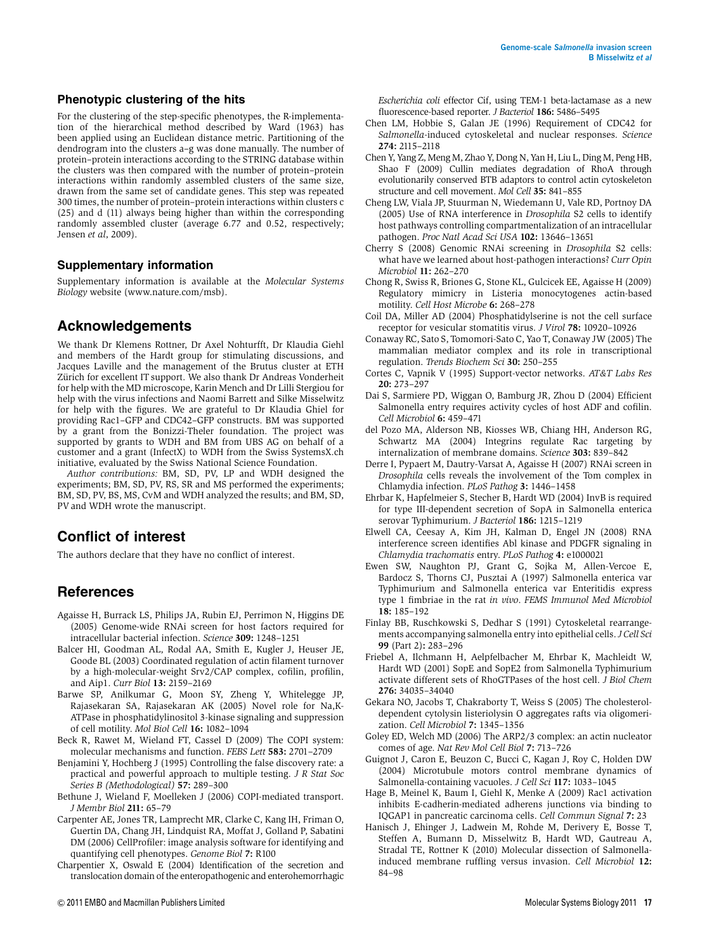#### Phenotypic clustering of the hits

For the clustering of the step-specific phenotypes, the R-implementation of the hierarchical method described by Ward (1963) has been applied using an Euclidean distance metric. Partitioning of the dendrogram into the clusters a–g was done manually. The number of protein–protein interactions according to the STRING database within the clusters was then compared with the number of protein–protein interactions within randomly assembled clusters of the same size, drawn from the same set of candidate genes. This step was repeated 300 times, the number of protein–protein interactions within clusters c (25) and d (11) always being higher than within the corresponding randomly assembled cluster (average 6.77 and 0.52, respectively; Jensen et al, 2009).

#### Supplementary information

Supplementary information is available at the Molecular Systems Biology website (www.nature.com/msb).

#### Acknowledgements

We thank Dr Klemens Rottner, Dr Axel Nohturfft, Dr Klaudia Giehl and members of the Hardt group for stimulating discussions, and Jacques Laville and the management of the Brutus cluster at ETH Zürich for excellent IT support. We also thank Dr Andreas Vonderheit for help with the MD microscope, Karin Mench and Dr Lilli Stergiou for help with the virus infections and Naomi Barrett and Silke Misselwitz for help with the figures. We are grateful to Dr Klaudia Ghiel for providing Rac1–GFP and CDC42–GFP constructs. BM was supported by a grant from the Bonizzi-Theler foundation. The project was supported by grants to WDH and BM from UBS AG on behalf of a customer and a grant (InfectX) to WDH from the Swiss SystemsX.ch initiative, evaluated by the Swiss National Science Foundation.

Author contributions: BM, SD, PV, LP and WDH designed the experiments; BM, SD, PV, RS, SR and MS performed the experiments; BM, SD, PV, BS, MS, CvM and WDH analyzed the results; and BM, SD, PV and WDH wrote the manuscript.

#### Conflict of interest

The authors declare that they have no conflict of interest.

#### References

- Agaisse H, Burrack LS, Philips JA, Rubin EJ, Perrimon N, Higgins DE (2005) Genome-wide RNAi screen for host factors required for intracellular bacterial infection. Science 309: 1248–1251
- Balcer HI, Goodman AL, Rodal AA, Smith E, Kugler J, Heuser JE, Goode BL (2003) Coordinated regulation of actin filament turnover by a high-molecular-weight Srv2/CAP complex, cofilin, profilin, and Aip1. Curr Biol 13: 2159–2169
- Barwe SP, Anilkumar G, Moon SY, Zheng Y, Whitelegge JP, Rajasekaran SA, Rajasekaran AK (2005) Novel role for Na,K-ATPase in phosphatidylinositol 3-kinase signaling and suppression of cell motility. Mol Biol Cell 16: 1082–1094
- Beck R, Rawet M, Wieland FT, Cassel D (2009) The COPI system: molecular mechanisms and function. FEBS Lett 583: 2701–2709
- Benjamini Y, Hochberg J (1995) Controlling the false discovery rate: a practical and powerful approach to multiple testing. J R Stat Soc Series B (Methodological) 57: 289–300
- Bethune J, Wieland F, Moelleken J (2006) COPI-mediated transport. J Membr Biol 211: 65–79
- Carpenter AE, Jones TR, Lamprecht MR, Clarke C, Kang IH, Friman O, Guertin DA, Chang JH, Lindquist RA, Moffat J, Golland P, Sabatini DM (2006) CellProfiler: image analysis software for identifying and quantifying cell phenotypes. Genome Biol 7: R100
- Charpentier X, Oswald E (2004) Identification of the secretion and translocation domain of the enteropathogenic and enterohemorrhagic

Escherichia coli effector Cif, using TEM-1 beta-lactamase as a new fluorescence-based reporter. J Bacteriol 186: 5486–5495

- Chen LM, Hobbie S, Galan JE (1996) Requirement of CDC42 for Salmonella-induced cytoskeletal and nuclear responses. Science 274: 2115–2118
- Chen Y, Yang Z, Meng M, Zhao Y, Dong N, Yan H, Liu L, Ding M, Peng HB, Shao F (2009) Cullin mediates degradation of RhoA through evolutionarily conserved BTB adaptors to control actin cytoskeleton structure and cell movement. Mol Cell 35: 841–855
- Cheng LW, Viala JP, Stuurman N, Wiedemann U, Vale RD, Portnoy DA (2005) Use of RNA interference in Drosophila S2 cells to identify host pathways controlling compartmentalization of an intracellular pathogen. Proc Natl Acad Sci USA 102: 13646–13651
- Cherry S (2008) Genomic RNAi screening in Drosophila S2 cells: what have we learned about host-pathogen interactions? Curr Opin Microbiol 11: 262–270
- Chong R, Swiss R, Briones G, Stone KL, Gulcicek EE, Agaisse H (2009) Regulatory mimicry in Listeria monocytogenes actin-based motility. Cell Host Microbe 6: 268–278
- Coil DA, Miller AD (2004) Phosphatidylserine is not the cell surface receptor for vesicular stomatitis virus. J Virol 78: 10920–10926
- Conaway RC, Sato S, Tomomori-Sato C, Yao T, Conaway JW (2005) The mammalian mediator complex and its role in transcriptional regulation. Trends Biochem Sci 30: 250–255
- Cortes C, Vapnik V (1995) Support-vector networks. AT&T Labs Res 20: 273–297
- Dai S, Sarmiere PD, Wiggan O, Bamburg JR, Zhou D (2004) Efficient Salmonella entry requires activity cycles of host ADF and cofilin. Cell Microbiol 6: 459–471
- del Pozo MA, Alderson NB, Kiosses WB, Chiang HH, Anderson RG, Schwartz MA (2004) Integrins regulate Rac targeting by internalization of membrane domains. Science 303: 839–842
- Derre I, Pypaert M, Dautry-Varsat A, Agaisse H (2007) RNAi screen in Drosophila cells reveals the involvement of the Tom complex in Chlamydia infection. PLoS Pathog 3: 1446–1458
- Ehrbar K, Hapfelmeier S, Stecher B, Hardt WD (2004) InvB is required for type III-dependent secretion of SopA in Salmonella enterica serovar Typhimurium. J Bacteriol 186: 1215–1219
- Elwell CA, Ceesay A, Kim JH, Kalman D, Engel JN (2008) RNA interference screen identifies Abl kinase and PDGFR signaling in Chlamydia trachomatis entry. PLoS Pathog 4: e1000021
- Ewen SW, Naughton PJ, Grant G, Sojka M, Allen-Vercoe E, Bardocz S, Thorns CJ, Pusztai A (1997) Salmonella enterica var Typhimurium and Salmonella enterica var Enteritidis express type 1 fimbriae in the rat in vivo. FEMS Immunol Med Microbiol 18: 185–192
- Finlay BB, Ruschkowski S, Dedhar S (1991) Cytoskeletal rearrangements accompanying salmonella entry into epithelial cells.J Cell Sci 99 (Part 2): 283–296
- Friebel A, Ilchmann H, Aelpfelbacher M, Ehrbar K, Machleidt W, Hardt WD (2001) SopE and SopE2 from Salmonella Typhimurium activate different sets of RhoGTPases of the host cell. J Biol Chem 276: 34035–34040
- Gekara NO, Jacobs T, Chakraborty T, Weiss S (2005) The cholesteroldependent cytolysin listeriolysin O aggregates rafts via oligomerization. Cell Microbiol 7: 1345–1356
- Goley ED, Welch MD (2006) The ARP2/3 complex: an actin nucleator comes of age. Nat Rev Mol Cell Biol 7: 713–726
- Guignot J, Caron E, Beuzon C, Bucci C, Kagan J, Roy C, Holden DW (2004) Microtubule motors control membrane dynamics of Salmonella-containing vacuoles. J Cell Sci 117: 1033–1045
- Hage B, Meinel K, Baum I, Giehl K, Menke A (2009) Rac1 activation inhibits E-cadherin-mediated adherens junctions via binding to IQGAP1 in pancreatic carcinoma cells. Cell Commun Signal 7: 23
- Hanisch J, Ehinger J, Ladwein M, Rohde M, Derivery E, Bosse T, Steffen A, Bumann D, Misselwitz B, Hardt WD, Gautreau A, Stradal TE, Rottner K (2010) Molecular dissection of Salmonellainduced membrane ruffling versus invasion. Cell Microbiol 12: 84–98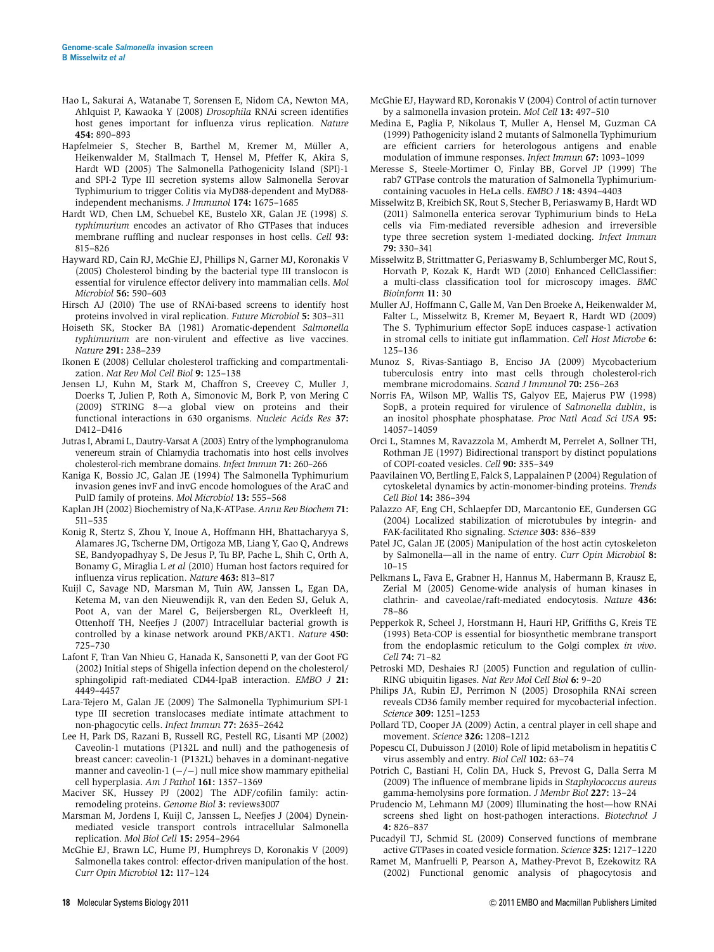- Hao L, Sakurai A, Watanabe T, Sorensen E, Nidom CA, Newton MA, Ahlquist P, Kawaoka Y (2008) Drosophila RNAi screen identifies host genes important for influenza virus replication. Nature 454: 890–893
- Hapfelmeier S, Stecher B, Barthel M, Kremer M, Müller A, Heikenwalder M, Stallmach T, Hensel M, Pfeffer K, Akira S, Hardt WD (2005) The Salmonella Pathogenicity Island (SPI)-1 and SPI-2 Type III secretion systems allow Salmonella Serovar Typhimurium to trigger Colitis via MyD88-dependent and MyD88 independent mechanisms. J Immunol 174: 1675–1685
- Hardt WD, Chen LM, Schuebel KE, Bustelo XR, Galan JE (1998) S. typhimurium encodes an activator of Rho GTPases that induces membrane ruffling and nuclear responses in host cells. Cell 93: 815–826
- Hayward RD, Cain RJ, McGhie EJ, Phillips N, Garner MJ, Koronakis V (2005) Cholesterol binding by the bacterial type III translocon is essential for virulence effector delivery into mammalian cells. Mol Microbiol 56: 590–603
- Hirsch AJ (2010) The use of RNAi-based screens to identify host proteins involved in viral replication. Future Microbiol 5: 303–311
- Hoiseth SK, Stocker BA (1981) Aromatic-dependent Salmonella typhimurium are non-virulent and effective as live vaccines. Nature 291: 238–239
- Ikonen E (2008) Cellular cholesterol trafficking and compartmentalization. Nat Rev Mol Cell Biol 9: 125–138
- Jensen LJ, Kuhn M, Stark M, Chaffron S, Creevey C, Muller J, Doerks T, Julien P, Roth A, Simonovic M, Bork P, von Mering C (2009) STRING 8—a global view on proteins and their functional interactions in 630 organisms. Nucleic Acids Res 37: D412–D416
- Jutras I, Abrami L, Dautry-Varsat A (2003) Entry of the lymphogranuloma venereum strain of Chlamydia trachomatis into host cells involves cholesterol-rich membrane domains. Infect Immun 71: 260–266
- Kaniga K, Bossio JC, Galan JE (1994) The Salmonella Typhimurium invasion genes invF and invG encode homologues of the AraC and PulD family of proteins. Mol Microbiol 13: 555–568
- Kaplan JH (2002) Biochemistry of Na,K-ATPase. Annu Rev Biochem 71: 511–535
- Konig R, Stertz S, Zhou Y, Inoue A, Hoffmann HH, Bhattacharyya S, Alamares JG, Tscherne DM, Ortigoza MB, Liang Y, Gao Q, Andrews SE, Bandyopadhyay S, De Jesus P, Tu BP, Pache L, Shih C, Orth A, Bonamy G, Miraglia L et al (2010) Human host factors required for influenza virus replication. Nature 463: 813–817
- Kuijl C, Savage ND, Marsman M, Tuin AW, Janssen L, Egan DA, Ketema M, van den Nieuwendijk R, van den Eeden SJ, Geluk A, Poot A, van der Marel G, Beijersbergen RL, Overkleeft H, Ottenhoff TH, Neefjes J (2007) Intracellular bacterial growth is controlled by a kinase network around PKB/AKT1. Nature 450: 725–730
- Lafont F, Tran Van Nhieu G, Hanada K, Sansonetti P, van der Goot FG (2002) Initial steps of Shigella infection depend on the cholesterol/ sphingolipid raft-mediated CD44-IpaB interaction. EMBO J 21: 4449–4457
- Lara-Tejero M, Galan JE (2009) The Salmonella Typhimurium SPI-1 type III secretion translocases mediate intimate attachment to non-phagocytic cells. Infect Immun 77: 2635–2642
- Lee H, Park DS, Razani B, Russell RG, Pestell RG, Lisanti MP (2002) Caveolin-1 mutations (P132L and null) and the pathogenesis of breast cancer: caveolin-1 (P132L) behaves in a dominant-negative manner and caveolin-1  $(-/-)$  null mice show mammary epithelial cell hyperplasia. Am J Pathol 161: 1357–1369
- Maciver SK, Hussey PJ (2002) The ADF/cofilin family: actinremodeling proteins. Genome Biol 3: reviews3007
- Marsman M, Jordens I, Kuijl C, Janssen L, Neefjes J (2004) Dyneinmediated vesicle transport controls intracellular Salmonella replication. Mol Biol Cell 15: 2954–2964
- McGhie EJ, Brawn LC, Hume PJ, Humphreys D, Koronakis V (2009) Salmonella takes control: effector-driven manipulation of the host. Curr Opin Microbiol 12: 117–124
- McGhie EJ, Hayward RD, Koronakis V (2004) Control of actin turnover by a salmonella invasion protein. Mol Cell 13: 497–510
- Medina E, Paglia P, Nikolaus T, Muller A, Hensel M, Guzman CA (1999) Pathogenicity island 2 mutants of Salmonella Typhimurium are efficient carriers for heterologous antigens and enable modulation of immune responses. Infect Immun 67: 1093–1099
- Meresse S, Steele-Mortimer O, Finlay BB, Gorvel JP (1999) The rab7 GTPase controls the maturation of Salmonella Typhimuriumcontaining vacuoles in HeLa cells. EMBO J 18: 4394–4403
- Misselwitz B, Kreibich SK, Rout S, Stecher B, Periaswamy B, Hardt WD (2011) Salmonella enterica serovar Typhimurium binds to HeLa cells via Fim-mediated reversible adhesion and irreversible type three secretion system 1-mediated docking. Infect Immun 79: 330–341
- Misselwitz B, Strittmatter G, Periaswamy B, Schlumberger MC, Rout S, Horvath P, Kozak K, Hardt WD (2010) Enhanced CellClassifier: a multi-class classification tool for microscopy images. BMC Bioinform 11: 30
- Muller AJ, Hoffmann C, Galle M, Van Den Broeke A, Heikenwalder M, Falter L, Misselwitz B, Kremer M, Beyaert R, Hardt WD (2009) The S. Typhimurium effector SopE induces caspase-1 activation in stromal cells to initiate gut inflammation. Cell Host Microbe 6: 125–136
- Munoz S, Rivas-Santiago B, Enciso JA (2009) Mycobacterium tuberculosis entry into mast cells through cholesterol-rich membrane microdomains. Scand J Immunol 70: 256–263
- Norris FA, Wilson MP, Wallis TS, Galyov EE, Majerus PW (1998) SopB, a protein required for virulence of Salmonella dublin, is an inositol phosphate phosphatase. Proc Natl Acad Sci USA 95: 14057–14059
- Orci L, Stamnes M, Ravazzola M, Amherdt M, Perrelet A, Sollner TH, Rothman JE (1997) Bidirectional transport by distinct populations of COPI-coated vesicles. Cell 90: 335–349
- Paavilainen VO, Bertling E, Falck S, Lappalainen P (2004) Regulation of cytoskeletal dynamics by actin-monomer-binding proteins. Trends Cell Biol 14: 386–394
- Palazzo AF, Eng CH, Schlaepfer DD, Marcantonio EE, Gundersen GG (2004) Localized stabilization of microtubules by integrin- and FAK-facilitated Rho signaling. Science 303: 836–839
- Patel JC, Galan JE (2005) Manipulation of the host actin cytoskeleton by Salmonella—all in the name of entry. Curr Opin Microbiol 8: 10–15
- Pelkmans L, Fava E, Grabner H, Hannus M, Habermann B, Krausz E, Zerial M (2005) Genome-wide analysis of human kinases in clathrin- and caveolae/raft-mediated endocytosis. Nature 436: 78–86
- Pepperkok R, Scheel J, Horstmann H, Hauri HP, Griffiths G, Kreis TE (1993) Beta-COP is essential for biosynthetic membrane transport from the endoplasmic reticulum to the Golgi complex in vivo. Cell 74: 71–82
- Petroski MD, Deshaies RJ (2005) Function and regulation of cullin-RING ubiquitin ligases. Nat Rev Mol Cell Biol 6: 9–20
- Philips JA, Rubin EJ, Perrimon N (2005) Drosophila RNAi screen reveals CD36 family member required for mycobacterial infection. Science 309: 1251–1253
- Pollard TD, Cooper JA (2009) Actin, a central player in cell shape and movement. Science 326: 1208–1212
- Popescu CI, Dubuisson J (2010) Role of lipid metabolism in hepatitis C virus assembly and entry. Biol Cell 102: 63–74
- Potrich C, Bastiani H, Colin DA, Huck S, Prevost G, Dalla Serra M (2009) The influence of membrane lipids in Staphylococcus aureus gamma-hemolysins pore formation. J Membr Biol 227: 13–24
- Prudencio M, Lehmann MJ (2009) Illuminating the host—how RNAi screens shed light on host-pathogen interactions. Biotechnol J 4: 826–837
- Pucadyil TJ, Schmid SL (2009) Conserved functions of membrane active GTPases in coated vesicle formation. Science 325: 1217–1220
- Ramet M, Manfruelli P, Pearson A, Mathey-Prevot B, Ezekowitz RA (2002) Functional genomic analysis of phagocytosis and